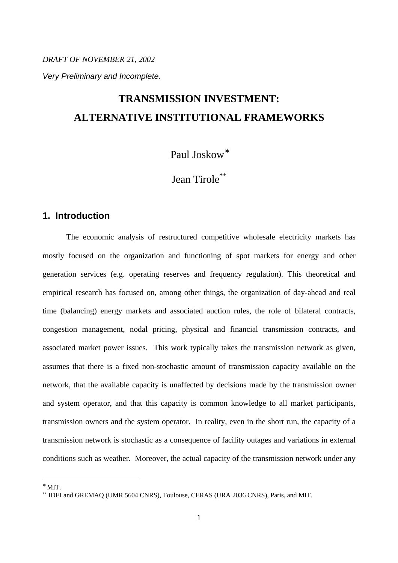*DRAFT OF NOVEMBER 21, 2002 Very Preliminary and Incomplete.*

# **TRANSMISSION INVESTMENT: ALTERNATIVE INSTITUTIONAL FRAMEWORKS**

Paul Joskow<sup>∗</sup>

Jean Tirole<sup>\*\*</sup>

# **1. Introduction**

The economic analysis of restructured competitive wholesale electricity markets has mostly focused on the organization and functioning of spot markets for energy and other generation services (e.g. operating reserves and frequency regulation). This theoretical and empirical research has focused on, among other things, the organization of day-ahead and real time (balancing) energy markets and associated auction rules, the role of bilateral contracts, congestion management, nodal pricing, physical and financial transmission contracts, and associated market power issues. This work typically takes the transmission network as given, assumes that there is a fixed non-stochastic amount of transmission capacity available on the network, that the available capacity is unaffected by decisions made by the transmission owner and system operator, and that this capacity is common knowledge to all market participants, transmission owners and the system operator. In reality, even in the short run, the capacity of a transmission network is stochastic as a consequence of facility outages and variations in external conditions such as weather. Moreover, the actual capacity of the transmission network under any

<sup>∗</sup> MIT.

<sup>\*\*</sup> IDEI and GREMAQ (UMR 5604 CNRS), Toulouse, CERAS (URA 2036 CNRS), Paris, and MIT.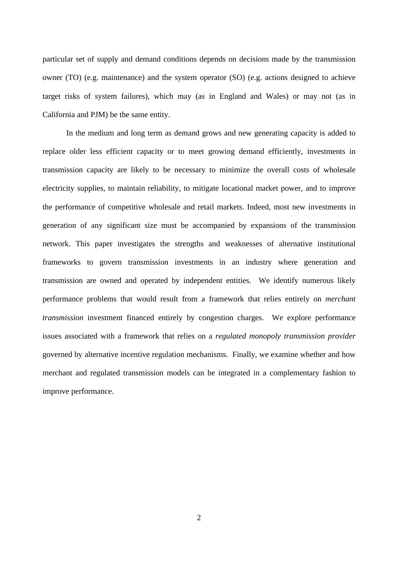particular set of supply and demand conditions depends on decisions made by the transmission owner (TO) (e.g. maintenance) and the system operator (SO) (e.g. actions designed to achieve target risks of system failures), which may (as in England and Wales) or may not (as in California and PJM) be the same entity.

In the medium and long term as demand grows and new generating capacity is added to replace older less efficient capacity or to meet growing demand efficiently, investments in transmission capacity are likely to be necessary to minimize the overall costs of wholesale electricity supplies, to maintain reliability, to mitigate locational market power, and to improve the performance of competitive wholesale and retail markets. Indeed, most new investments in generation of any significant size must be accompanied by expansions of the transmission network. This paper investigates the strengths and weaknesses of alternative institutional frameworks to govern transmission investments in an industry where generation and transmission are owned and operated by independent entities. We identify numerous likely performance problems that would result from a framework that relies entirely on *merchant transmission* investment financed entirely by congestion charges. We explore performance issues associated with a framework that relies on a *regulated monopoly transmission provider* governed by alternative incentive regulation mechanisms. Finally, we examine whether and how merchant and regulated transmission models can be integrated in a complementary fashion to improve performance.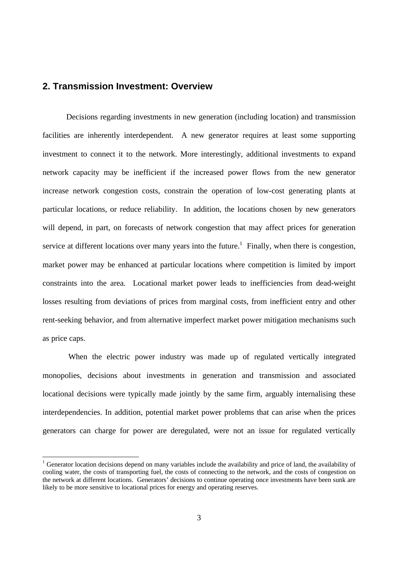# **2. Transmission Investment: Overview**

 $\overline{a}$ 

Decisions regarding investments in new generation (including location) and transmission facilities are inherently interdependent. A new generator requires at least some supporting investment to connect it to the network. More interestingly, additional investments to expand network capacity may be inefficient if the increased power flows from the new generator increase network congestion costs, constrain the operation of low-cost generating plants at particular locations, or reduce reliability. In addition, the locations chosen by new generators will depend, in part, on forecasts of network congestion that may affect prices for generation service at different locations over many years into the future.<sup>1</sup> Finally, when there is congestion, market power may be enhanced at particular locations where competition is limited by import constraints into the area. Locational market power leads to inefficiencies from dead-weight losses resulting from deviations of prices from marginal costs, from inefficient entry and other rent-seeking behavior, and from alternative imperfect market power mitigation mechanisms such as price caps.

 When the electric power industry was made up of regulated vertically integrated monopolies, decisions about investments in generation and transmission and associated locational decisions were typically made jointly by the same firm, arguably internalising these interdependencies. In addition, potential market power problems that can arise when the prices generators can charge for power are deregulated, were not an issue for regulated vertically

<sup>&</sup>lt;sup>1</sup> Generator location decisions depend on many variables include the availability and price of land, the availability of cooling water, the costs of transporting fuel, the costs of connecting to the network, and the costs of congestion on the network at different locations. Generators' decisions to continue operating once investments have been sunk are likely to be more sensitive to locational prices for energy and operating reserves.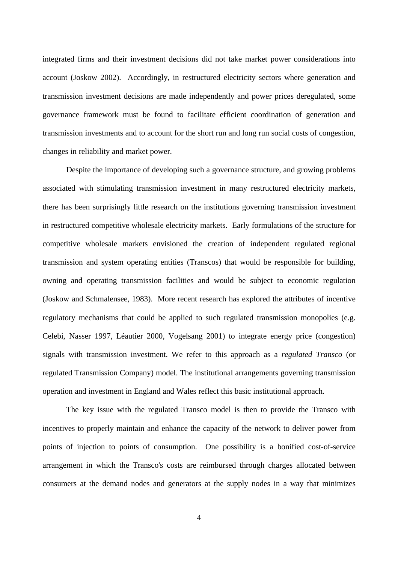integrated firms and their investment decisions did not take market power considerations into account (Joskow 2002). Accordingly, in restructured electricity sectors where generation and transmission investment decisions are made independently and power prices deregulated, some governance framework must be found to facilitate efficient coordination of generation and transmission investments and to account for the short run and long run social costs of congestion, changes in reliability and market power.

Despite the importance of developing such a governance structure, and growing problems associated with stimulating transmission investment in many restructured electricity markets, there has been surprisingly little research on the institutions governing transmission investment in restructured competitive wholesale electricity markets. Early formulations of the structure for competitive wholesale markets envisioned the creation of independent regulated regional transmission and system operating entities (Transcos) that would be responsible for building, owning and operating transmission facilities and would be subject to economic regulation (Joskow and Schmalensee, 1983). More recent research has explored the attributes of incentive regulatory mechanisms that could be applied to such regulated transmission monopolies (e.g. Celebi, Nasser 1997, Léautier 2000, Vogelsang 2001) to integrate energy price (congestion) signals with transmission investment. We refer to this approach as a *regulated Transco* (or regulated Transmission Company) model. The institutional arrangements governing transmission operation and investment in England and Wales reflect this basic institutional approach.

The key issue with the regulated Transco model is then to provide the Transco with incentives to properly maintain and enhance the capacity of the network to deliver power from points of injection to points of consumption. One possibility is a bonified cost-of-service arrangement in which the Transco's costs are reimbursed through charges allocated between consumers at the demand nodes and generators at the supply nodes in a way that minimizes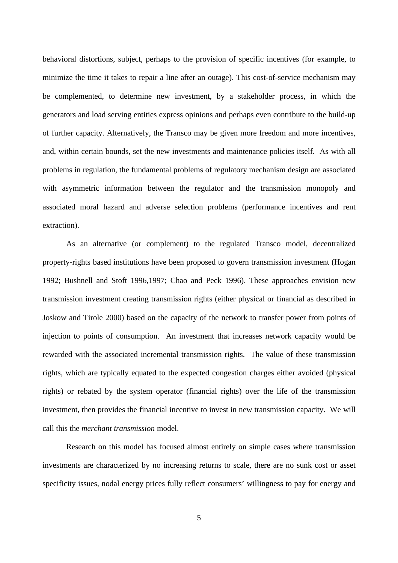behavioral distortions, subject, perhaps to the provision of specific incentives (for example, to minimize the time it takes to repair a line after an outage). This cost-of-service mechanism may be complemented, to determine new investment, by a stakeholder process, in which the generators and load serving entities express opinions and perhaps even contribute to the build-up of further capacity. Alternatively, the Transco may be given more freedom and more incentives, and, within certain bounds, set the new investments and maintenance policies itself. As with all problems in regulation, the fundamental problems of regulatory mechanism design are associated with asymmetric information between the regulator and the transmission monopoly and associated moral hazard and adverse selection problems (performance incentives and rent extraction).

As an alternative (or complement) to the regulated Transco model, decentralized property-rights based institutions have been proposed to govern transmission investment (Hogan 1992; Bushnell and Stoft 1996,1997; Chao and Peck 1996). These approaches envision new transmission investment creating transmission rights (either physical or financial as described in Joskow and Tirole 2000) based on the capacity of the network to transfer power from points of injection to points of consumption. An investment that increases network capacity would be rewarded with the associated incremental transmission rights. The value of these transmission rights, which are typically equated to the expected congestion charges either avoided (physical rights) or rebated by the system operator (financial rights) over the life of the transmission investment, then provides the financial incentive to invest in new transmission capacity. We will call this the *merchant transmission* model.

Research on this model has focused almost entirely on simple cases where transmission investments are characterized by no increasing returns to scale, there are no sunk cost or asset specificity issues, nodal energy prices fully reflect consumers' willingness to pay for energy and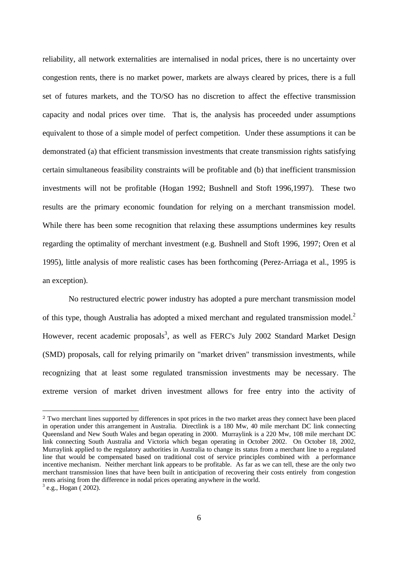reliability, all network externalities are internalised in nodal prices, there is no uncertainty over congestion rents, there is no market power, markets are always cleared by prices, there is a full set of futures markets, and the TO/SO has no discretion to affect the effective transmission capacity and nodal prices over time. That is, the analysis has proceeded under assumptions equivalent to those of a simple model of perfect competition. Under these assumptions it can be demonstrated (a) that efficient transmission investments that create transmission rights satisfying certain simultaneous feasibility constraints will be profitable and (b) that inefficient transmission investments will not be profitable (Hogan 1992; Bushnell and Stoft 1996,1997). These two results are the primary economic foundation for relying on a merchant transmission model. While there has been some recognition that relaxing these assumptions undermines key results regarding the optimality of merchant investment (e.g. Bushnell and Stoft 1996, 1997; Oren et al 1995), little analysis of more realistic cases has been forthcoming (Perez-Arriaga et al., 1995 is an exception).

 No restructured electric power industry has adopted a pure merchant transmission model of this type, though Australia has adopted a mixed merchant and regulated transmission model.<sup>2</sup> However, recent academic proposals<sup>3</sup>, as well as FERC's July 2002 Standard Market Design (SMD) proposals, call for relying primarily on "market driven" transmission investments, while recognizing that at least some regulated transmission investments may be necessary. The extreme version of market driven investment allows for free entry into the activity of

<sup>2</sup> Two merchant lines supported by differences in spot prices in the two market areas they connect have been placed in operation under this arrangement in Australia. Directlink is a 180 Mw, 40 mile merchant DC link connecting Queensland and New South Wales and began operating in 2000. Murraylink is a 220 Mw, 108 mile merchant DC link connecting South Australia and Victoria which began operating in October 2002. On October 18, 2002, Murraylink applied to the regulatory authorities in Australia to change its status from a merchant line to a regulated line that would be compensated based on traditional cost of service principles combined with a performance incentive mechanism. Neither merchant link appears to be profitable. As far as we can tell, these are the only two merchant transmission lines that have been built in anticipation of recovering their costs entirely from congestion rents arising from the difference in nodal prices operating anywhere in the world.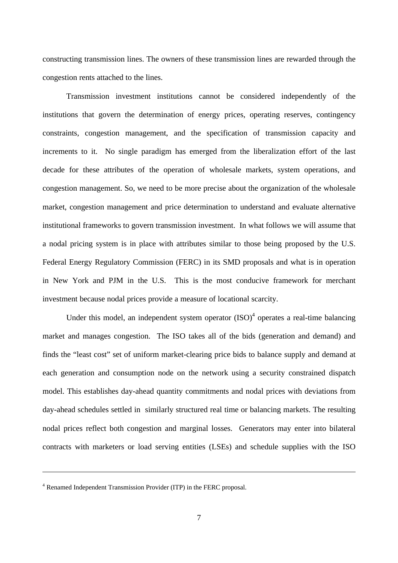constructing transmission lines. The owners of these transmission lines are rewarded through the congestion rents attached to the lines.

Transmission investment institutions cannot be considered independently of the institutions that govern the determination of energy prices, operating reserves, contingency constraints, congestion management, and the specification of transmission capacity and increments to it. No single paradigm has emerged from the liberalization effort of the last decade for these attributes of the operation of wholesale markets, system operations, and congestion management. So, we need to be more precise about the organization of the wholesale market, congestion management and price determination to understand and evaluate alternative institutional frameworks to govern transmission investment. In what follows we will assume that a nodal pricing system is in place with attributes similar to those being proposed by the U.S. Federal Energy Regulatory Commission (FERC) in its SMD proposals and what is in operation in New York and PJM in the U.S. This is the most conducive framework for merchant investment because nodal prices provide a measure of locational scarcity.

Under this model, an independent system operator  $(ISO)^4$  operates a real-time balancing market and manages congestion. The ISO takes all of the bids (generation and demand) and finds the "least cost" set of uniform market-clearing price bids to balance supply and demand at each generation and consumption node on the network using a security constrained dispatch model. This establishes day-ahead quantity commitments and nodal prices with deviations from day-ahead schedules settled in similarly structured real time or balancing markets. The resulting nodal prices reflect both congestion and marginal losses. Generators may enter into bilateral contracts with marketers or load serving entities (LSEs) and schedule supplies with the ISO

<sup>4</sup> Renamed Independent Transmission Provider (ITP) in the FERC proposal.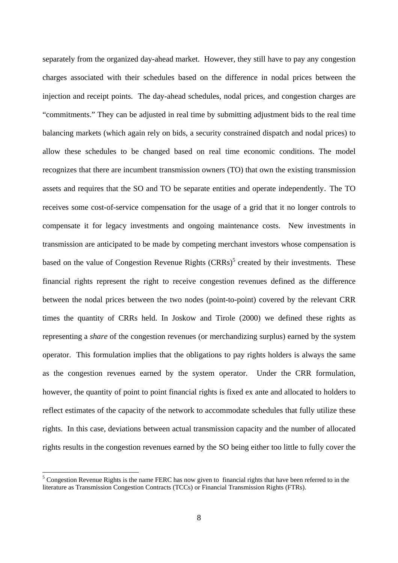separately from the organized day-ahead market. However, they still have to pay any congestion charges associated with their schedules based on the difference in nodal prices between the injection and receipt points. The day-ahead schedules, nodal prices, and congestion charges are "commitments." They can be adjusted in real time by submitting adjustment bids to the real time balancing markets (which again rely on bids, a security constrained dispatch and nodal prices) to allow these schedules to be changed based on real time economic conditions. The model recognizes that there are incumbent transmission owners (TO) that own the existing transmission assets and requires that the SO and TO be separate entities and operate independently. The TO receives some cost-of-service compensation for the usage of a grid that it no longer controls to compensate it for legacy investments and ongoing maintenance costs. New investments in transmission are anticipated to be made by competing merchant investors whose compensation is based on the value of Congestion Revenue Rights  $(CRRs)^5$  created by their investments. These financial rights represent the right to receive congestion revenues defined as the difference between the nodal prices between the two nodes (point-to-point) covered by the relevant CRR times the quantity of CRRs held. In Joskow and Tirole (2000) we defined these rights as representing a *share* of the congestion revenues (or merchandizing surplus) earned by the system operator. This formulation implies that the obligations to pay rights holders is always the same as the congestion revenues earned by the system operator. Under the CRR formulation, however, the quantity of point to point financial rights is fixed ex ante and allocated to holders to reflect estimates of the capacity of the network to accommodate schedules that fully utilize these rights. In this case, deviations between actual transmission capacity and the number of allocated rights results in the congestion revenues earned by the SO being either too little to fully cover the

 $<sup>5</sup>$  Congestion Revenue Rights is the name FERC has now given to financial rights that have been referred to in the</sup> literature as Transmission Congestion Contracts (TCCs) or Financial Transmission Rights (FTRs).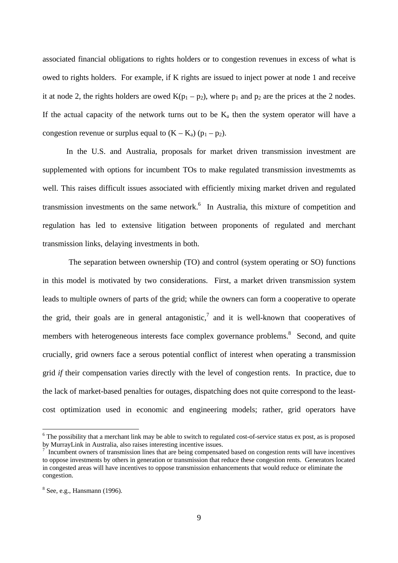associated financial obligations to rights holders or to congestion revenues in excess of what is owed to rights holders. For example, if K rights are issued to inject power at node 1 and receive it at node 2, the rights holders are owed  $K(p_1 - p_2)$ , where  $p_1$  and  $p_2$  are the prices at the 2 nodes. If the actual capacity of the network turns out to be  $K_a$  then the system operator will have a congestion revenue or surplus equal to  $(K - K_a)$  ( $p_1 - p_2$ ).

In the U.S. and Australia, proposals for market driven transmission investment are supplemented with options for incumbent TOs to make regulated transmission investmemts as well. This raises difficult issues associated with efficiently mixing market driven and regulated transmission investments on the same network.<sup>6</sup> In Australia, this mixture of competition and regulation has led to extensive litigation between proponents of regulated and merchant transmission links, delaying investments in both.

 The separation between ownership (TO) and control (system operating or SO) functions in this model is motivated by two considerations. First, a market driven transmission system leads to multiple owners of parts of the grid; while the owners can form a cooperative to operate the grid, their goals are in general antagonistic,<sup>7</sup> and it is well-known that cooperatives of members with heterogeneous interests face complex governance problems.<sup>8</sup> Second, and quite crucially, grid owners face a serous potential conflict of interest when operating a transmission grid *if* their compensation varies directly with the level of congestion rents. In practice, due to the lack of market-based penalties for outages, dispatching does not quite correspond to the leastcost optimization used in economic and engineering models; rather, grid operators have

<sup>&</sup>lt;sup>6</sup> The possibility that a merchant link may be able to switch to regulated cost-of-service status ex post, as is proposed by MurrayLink in Australia, also raises interesting incentive issues.

<sup>&</sup>lt;sup>7</sup> Incumbent owners of transmission lines that are being compensated based on congestion rents will have incentives to oppose investments by others in generation or transmission that reduce these congestion rents. Generators located in congested areas will have incentives to oppose transmission enhancements that would reduce or eliminate the congestion.

 $8$  See, e.g., Hansmann (1996).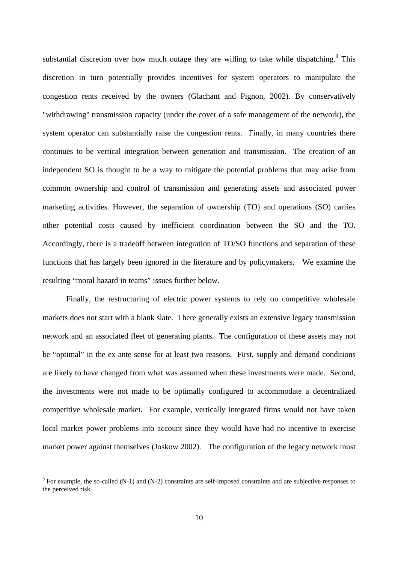substantial discretion over how much outage they are willing to take while dispatching.<sup>9</sup> This discretion in turn potentially provides incentives for system operators to manipulate the congestion rents received by the owners (Glachant and Pignon, 2002). By conservatively "withdrawing" transmission capacity (under the cover of a safe management of the network), the system operator can substantially raise the congestion rents. Finally, in many countries there continues to be vertical integration between generation and transmission. The creation of an independent SO is thought to be a way to mitigate the potential problems that may arise from common ownership and control of transmission and generating assets and associated power marketing activities. However, the separation of ownership (TO) and operations (SO) carries other potential costs caused by inefficient coordination between the SO and the TO. Accordingly, there is a tradeoff between integration of TO/SO functions and separation of these functions that has largely been ignored in the literature and by policymakers. We examine the resulting "moral hazard in teams" issues further below.

Finally, the restructuring of electric power systems to rely on competitive wholesale markets does not start with a blank slate. There generally exists an extensive legacy transmission network and an associated fleet of generating plants. The configuration of these assets may not be "optimal" in the ex ante sense for at least two reasons. First, supply and demand conditions are likely to have changed from what was assumed when these investments were made. Second, the investments were not made to be optimally configured to accommodate a decentralized competitive wholesale market. For example, vertically integrated firms would not have taken local market power problems into account since they would have had no incentive to exercise market power against themselves (Joskow 2002). The configuration of the legacy network must

 $9^9$  For example, the so-called (N-1) and (N-2) constraints are self-imposed constraints and are subjective responses to the perceived risk.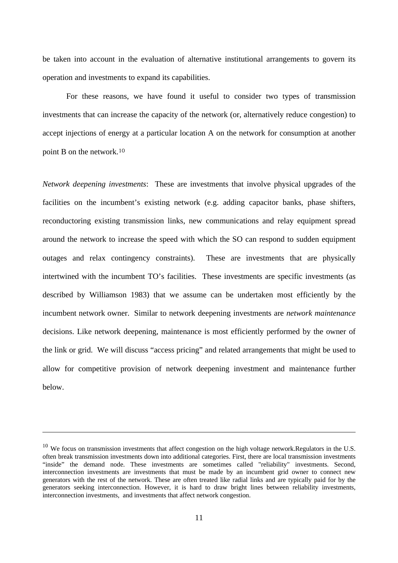be taken into account in the evaluation of alternative institutional arrangements to govern its operation and investments to expand its capabilities.

For these reasons, we have found it useful to consider two types of transmission investments that can increase the capacity of the network (or, alternatively reduce congestion) to accept injections of energy at a particular location A on the network for consumption at another point B on the network.<sup>10</sup>

*Network deepening investments*: These are investments that involve physical upgrades of the facilities on the incumbent's existing network (e.g. adding capacitor banks, phase shifters, reconductoring existing transmission links, new communications and relay equipment spread around the network to increase the speed with which the SO can respond to sudden equipment outages and relax contingency constraints). These are investments that are physically intertwined with the incumbent TO's facilities. These investments are specific investments (as described by Williamson 1983) that we assume can be undertaken most efficiently by the incumbent network owner. Similar to network deepening investments are *network maintenance* decisions. Like network deepening, maintenance is most efficiently performed by the owner of the link or grid. We will discuss "access pricing" and related arrangements that might be used to allow for competitive provision of network deepening investment and maintenance further below.

 $10$  We focus on transmission investments that affect congestion on the high voltage network.Regulators in the U.S. often break transmission investments down into additional categories. First, there are local transmission investments "inside" the demand node. These investments are sometimes called "reliability" investments. Second, interconnection investments are investments that must be made by an incumbent grid owner to connect new generators with the rest of the network. These are often treated like radial links and are typically paid for by the generators seeking interconnection. However, it is hard to draw bright lines between reliability investments, interconnection investments, and investments that affect network congestion.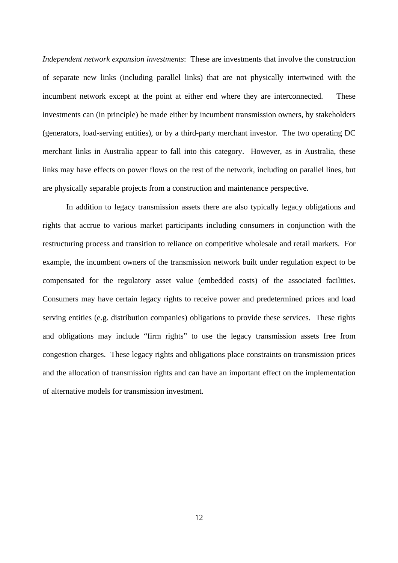*Independent network expansion investments*: These are investments that involve the construction of separate new links (including parallel links) that are not physically intertwined with the incumbent network except at the point at either end where they are interconnected. These investments can (in principle) be made either by incumbent transmission owners, by stakeholders (generators, load-serving entities), or by a third-party merchant investor. The two operating DC merchant links in Australia appear to fall into this category. However, as in Australia, these links may have effects on power flows on the rest of the network, including on parallel lines, but are physically separable projects from a construction and maintenance perspective.

In addition to legacy transmission assets there are also typically legacy obligations and rights that accrue to various market participants including consumers in conjunction with the restructuring process and transition to reliance on competitive wholesale and retail markets. For example, the incumbent owners of the transmission network built under regulation expect to be compensated for the regulatory asset value (embedded costs) of the associated facilities. Consumers may have certain legacy rights to receive power and predetermined prices and load serving entities (e.g. distribution companies) obligations to provide these services. These rights and obligations may include "firm rights" to use the legacy transmission assets free from congestion charges. These legacy rights and obligations place constraints on transmission prices and the allocation of transmission rights and can have an important effect on the implementation of alternative models for transmission investment.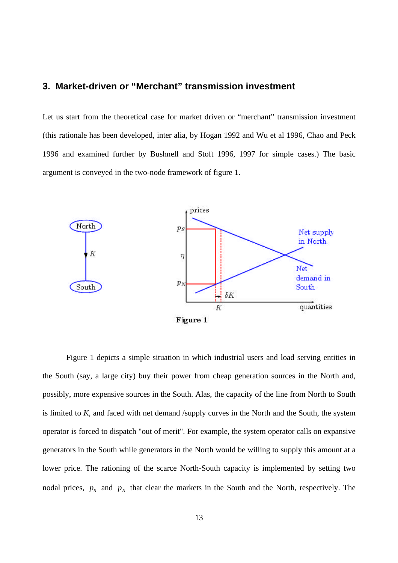# **3. Market-driven or "Merchant" transmission investment**

Let us start from the theoretical case for market driven or "merchant" transmission investment (this rationale has been developed, inter alia, by Hogan 1992 and Wu et al 1996, Chao and Peck 1996 and examined further by Bushnell and Stoft 1996, 1997 for simple cases.) The basic argument is conveyed in the two-node framework of figure 1.



Figure 1 depicts a simple situation in which industrial users and load serving entities in the South (say, a large city) buy their power from cheap generation sources in the North and, possibly, more expensive sources in the South. Alas, the capacity of the line from North to South is limited to *K*, and faced with net demand /supply curves in the North and the South, the system operator is forced to dispatch "out of merit". For example, the system operator calls on expansive generators in the South while generators in the North would be willing to supply this amount at a lower price. The rationing of the scarce North-South capacity is implemented by setting two nodal prices,  $p_s$  and  $p_n$  that clear the markets in the South and the North, respectively. The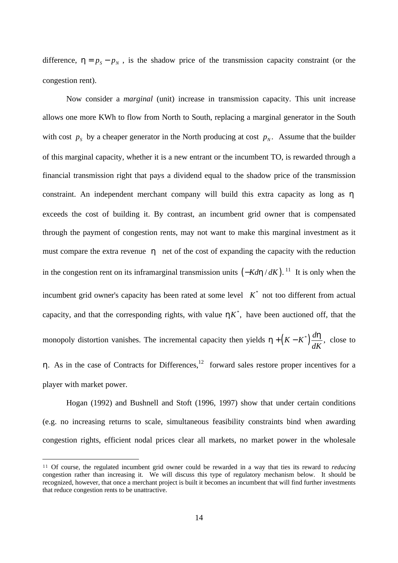difference,  $h = p_s - p_w$ , is the shadow price of the transmission capacity constraint (or the congestion rent).

Now consider a *marginal* (unit) increase in transmission capacity. This unit increase allows one more KWh to flow from North to South, replacing a marginal generator in the South with cost  $p_s$  by a cheaper generator in the North producing at cost  $p_N$ . Assume that the builder of this marginal capacity, whether it is a new entrant or the incumbent TO, is rewarded through a financial transmission right that pays a dividend equal to the shadow price of the transmission constraint. An independent merchant company will build this extra capacity as long as *h* exceeds the cost of building it. By contrast, an incumbent grid owner that is compensated through the payment of congestion rents, may not want to make this marginal investment as it must compare the extra revenue *h* net of the cost of expanding the capacity with the reduction in the congestion rent on its inframarginal transmission units (−*Kdh* / *dK*). <sup>11</sup> It is only when the incumbent grid owner's capacity has been rated at some level  $K^*$  not too different from actual capacity, and that the corresponding rights, with value  $\boldsymbol{h}K^*$ , have been auctioned off, that the monopoly distortion vanishes. The incremental capacity then yields  $\mathbf{h} + (K - K^*) \frac{d\mathbf{h}}{d\mathbf{k}}$ , *dK* close to *h*. As in the case of Contracts for Differences,<sup>12</sup> forward sales restore proper incentives for a player with market power.

Hogan (1992) and Bushnell and Stoft (1996, 1997) show that under certain conditions (e.g. no increasing returns to scale, simultaneous feasibility constraints bind when awarding congestion rights, efficient nodal prices clear all markets, no market power in the wholesale

<sup>11</sup> Of course, the regulated incumbent grid owner could be rewarded in a way that ties its reward to *reducing* congestion rather than increasing it. We will discuss this type of regulatory mechanism below. It should be recognized, however, that once a merchant project is built it becomes an incumbent that will find further investments that reduce congestion rents to be unattractive.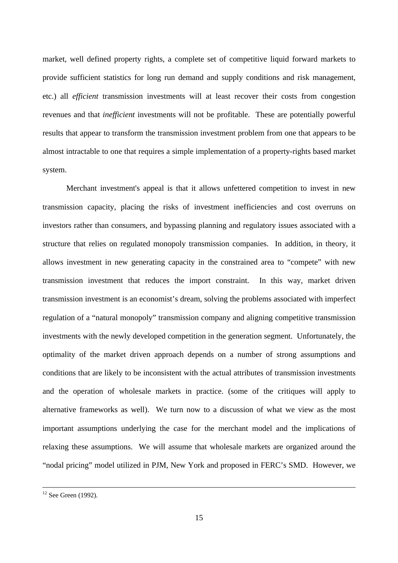market, well defined property rights, a complete set of competitive liquid forward markets to provide sufficient statistics for long run demand and supply conditions and risk management, etc.) all *efficient* transmission investments will at least recover their costs from congestion revenues and that *inefficient* investments will not be profitable. These are potentially powerful results that appear to transform the transmission investment problem from one that appears to be almost intractable to one that requires a simple implementation of a property-rights based market system.

Merchant investment's appeal is that it allows unfettered competition to invest in new transmission capacity, placing the risks of investment inefficiencies and cost overruns on investors rather than consumers, and bypassing planning and regulatory issues associated with a structure that relies on regulated monopoly transmission companies. In addition, in theory, it allows investment in new generating capacity in the constrained area to "compete" with new transmission investment that reduces the import constraint. In this way, market driven transmission investment is an economist's dream, solving the problems associated with imperfect regulation of a "natural monopoly" transmission company and aligning competitive transmission investments with the newly developed competition in the generation segment. Unfortunately, the optimality of the market driven approach depends on a number of strong assumptions and conditions that are likely to be inconsistent with the actual attributes of transmission investments and the operation of wholesale markets in practice. (some of the critiques will apply to alternative frameworks as well). We turn now to a discussion of what we view as the most important assumptions underlying the case for the merchant model and the implications of relaxing these assumptions. We will assume that wholesale markets are organized around the "nodal pricing" model utilized in PJM, New York and proposed in FERC's SMD. However, we

 $12$  See Green (1992).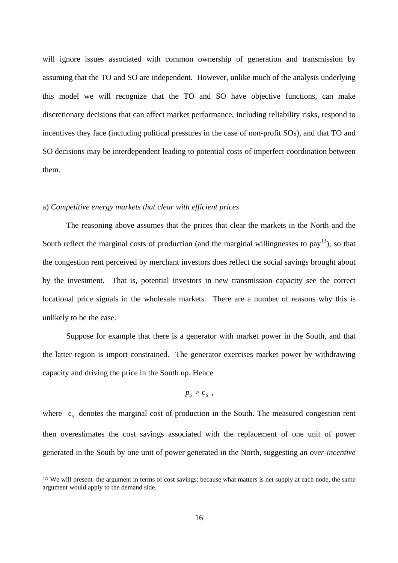will ignore issues associated with common ownership of generation and transmission by assuming that the TO and SO are independent. However, unlike much of the analysis underlying this model we will recognize that the TO and SO have objective functions, can make discretionary decisions that can affect market performance, including reliability risks, respond to incentives they face (including political pressures in the case of non-profit SOs), and that TO and SO decisions may be interdependent leading to potential costs of imperfect coordination between them.

#### a) *Competitive energy markets that clear with efficient prices*

 $\overline{a}$ 

The reasoning above assumes that the prices that clear the markets in the North and the South reflect the marginal costs of production (and the marginal willingnesses to  $pay<sup>13</sup>$ ), so that the congestion rent perceived by merchant investors does reflect the social savings brought about by the investment. That is, potential investors in new transmission capacity see the correct locational price signals in the wholesale markets. There are a number of reasons why this is unlikely to be the case.

Suppose for example that there is a generator with market power in the South, and that the latter region is import constrained. The generator exercises market power by withdrawing capacity and driving the price in the South up. Hence

$$
p_{s} > c_{s} ,
$$

where  $c_s$  denotes the marginal cost of production in the South. The measured congestion rent then overestimates the cost savings associated with the replacement of one unit of power generated in the South by one unit of power generated in the North, suggesting an *over-incentive*

<sup>&</sup>lt;sup>13</sup> We will present the argument in terms of cost savings; because what matters is net supply at each node, the same argument would apply to the demand side.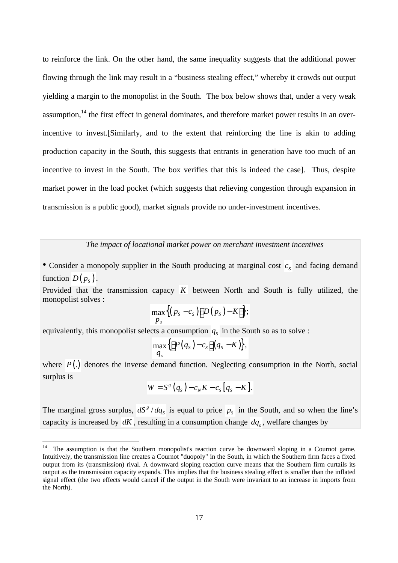to reinforce the link. On the other hand, the same inequality suggests that the additional power flowing through the link may result in a "business stealing effect," whereby it crowds out output yielding a margin to the monopolist in the South. The box below shows that, under a very weak assumption,<sup>14</sup> the first effect in general dominates, and therefore market power results in an overincentive to invest.[Similarly, and to the extent that reinforcing the line is akin to adding production capacity in the South, this suggests that entrants in generation have too much of an incentive to invest in the South. The box verifies that this is indeed the case]. Thus, despite market power in the load pocket (which suggests that relieving congestion through expansion in transmission is a public good), market signals provide no under-investment incentives.

*The impact of locational market power on merchant investment incentives*

• Consider a monopoly supplier in the South producing at marginal cost  $\overline{c_s}$  and facing demand function  $D(p_s)$ .

Provided that the transmission capacy *K* between North and South is fully utilized, the monopolist solves :

$$
\max_{P_s}\big\{ (p_s-c_s)\big[D(p_s)-K\big]\big\};
$$

equivalently, this monopolist selects a consumption  $q_s$  in the South so as to solve :

$$
\max_{q_s}\big\{ \big[P(q_s)-c_s\big](q_s-K)\big\},\,
$$

where *P*(.) denotes the inverse demand function. Neglecting consumption in the North, social surplus is

$$
W = Sg(qs) - cNK - cs[qs - K].
$$

The marginal gross surplus,  $dS^g/$  $dS^g/dq_s$  is equal to price  $p_s$  in the South, and so when the line's capacity is increased by  $dK$ , resulting in a consumption change  $dq_s$ , welfare changes by

 $14$ The assumption is that the Southern monopolist's reaction curve be downward sloping in a Cournot game. Intuitively, the transmission line creates a Cournot "duopoly" in the South, in which the Southern firm faces a fixed output from its (transmission) rival. A downward sloping reaction curve means that the Southern firm curtails its output as the transmission capacity expands. This implies that the business stealing effect is smaller than the inflated signal effect (the two effects would cancel if the output in the South were invariant to an increase in imports from the North).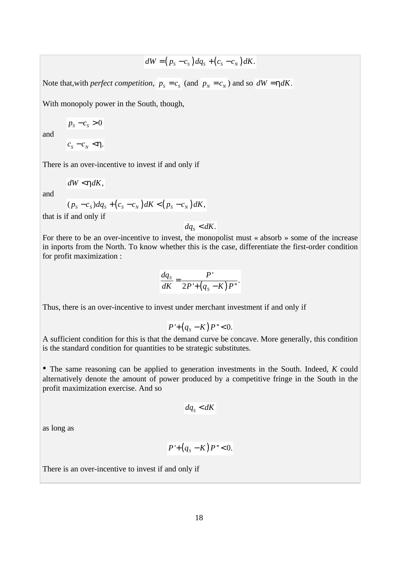$$
dW = (p_s - c_s) dq_s + (c_s - c_N) dK.
$$

Note that, with *perfect competition*,  $p_s = c_s$  (and  $p_N = c_N$ ) and so  $dW = h dK$ .

With monopoly power in the South, though,

$$
p_s - c_s > 0
$$

and

 $c_{\scriptscriptstyle S} - c_{\scriptscriptstyle N} < h$ .

There is an over-incentive to invest if and only if

$$
dW < h dK,
$$

and

$$
(p_s-c_s) dq_s + (c_s-c_N) dK < (p_s-c_N) dK,
$$

that is if and only if

 $dq_s < dK$ .

For there to be an over-incentive to invest, the monopolist must « absorb » some of the increase in inports from the North. To know whether this is the case, differentiate the first-order condition for profit maximization :

$$
\frac{dq_s}{dK} = \frac{P'}{2P' + (q_s - K)P''}.
$$

Thus, there is an over-incentive to invest under merchant investment if and only if

$$
P^{\prime}+(q_s-K)P^{\prime\prime}<0.
$$

A sufficient condition for this is that the demand curve be concave. More generally, this condition is the standard condition for quantities to be strategic substitutes.

• The same reasoning can be applied to generation investments in the South. Indeed, *K* could alternatively denote the amount of power produced by a competitive fringe in the South in the profit maximization exercise. And so

$$
dq_s < dK
$$

as long as

$$
P^{\prime}+(q_s-K)P^{\prime\prime}<0.
$$

There is an over-incentive to invest if and only if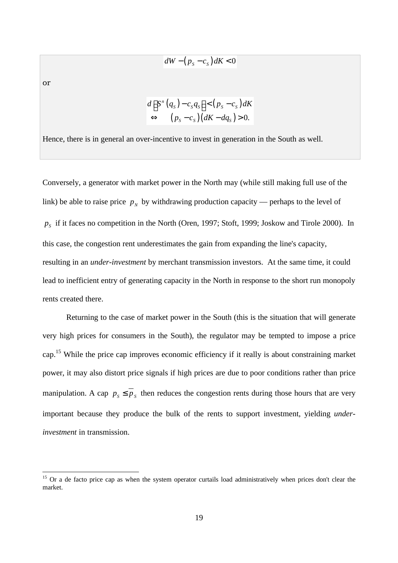$$
dW - (p_s - c_s) dK < 0
$$

or

 $\overline{a}$ 

$$
d\Big[S^{\prime\prime}(q_s)-c_s q_s\Big]<\big(p_s-c_s\big)dK
$$
  
\n
$$
\Leftrightarrow \Big(p_s-c_s\big)\big(dK-dq_s\big)>0.
$$

Hence, there is in general an over-incentive to invest in generation in the South as well.

Conversely, a generator with market power in the North may (while still making full use of the link) be able to raise price  $p_N$  by withdrawing production capacity — perhaps to the level of *pS* if it faces no competition in the North (Oren, 1997; Stoft, 1999; Joskow and Tirole 2000). In this case, the congestion rent underestimates the gain from expanding the line's capacity, resulting in an *under-investment* by merchant transmission investors. At the same time, it could lead to inefficient entry of generating capacity in the North in response to the short run monopoly rents created there.

Returning to the case of market power in the South (this is the situation that will generate very high prices for consumers in the South), the regulator may be tempted to impose a price cap.<sup>15</sup> While the price cap improves economic efficiency if it really is about constraining market power, it may also distort price signals if high prices are due to poor conditions rather than price manipulation. A cap  $p_s \leq p_s$  then reduces the congestion rents during those hours that are very important because they produce the bulk of the rents to support investment, yielding *underinvestment* in transmission.

<sup>&</sup>lt;sup>15</sup> Or a de facto price cap as when the system operator curtails load administratively when prices don't clear the market.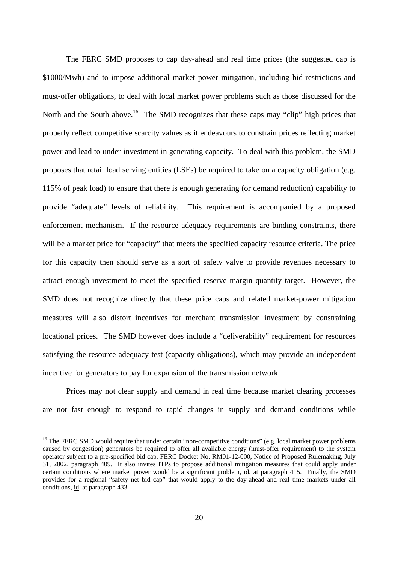The FERC SMD proposes to cap day-ahead and real time prices (the suggested cap is \$1000/Mwh) and to impose additional market power mitigation, including bid-restrictions and must-offer obligations, to deal with local market power problems such as those discussed for the North and the South above.<sup>16</sup> The SMD recognizes that these caps may "clip" high prices that properly reflect competitive scarcity values as it endeavours to constrain prices reflecting market power and lead to under-investment in generating capacity. To deal with this problem, the SMD proposes that retail load serving entities (LSEs) be required to take on a capacity obligation (e.g. 115% of peak load) to ensure that there is enough generating (or demand reduction) capability to provide "adequate" levels of reliability. This requirement is accompanied by a proposed enforcement mechanism. If the resource adequacy requirements are binding constraints, there will be a market price for "capacity" that meets the specified capacity resource criteria. The price for this capacity then should serve as a sort of safety valve to provide revenues necessary to attract enough investment to meet the specified reserve margin quantity target. However, the SMD does not recognize directly that these price caps and related market-power mitigation measures will also distort incentives for merchant transmission investment by constraining locational prices. The SMD however does include a "deliverability" requirement for resources satisfying the resource adequacy test (capacity obligations), which may provide an independent incentive for generators to pay for expansion of the transmission network.

Prices may not clear supply and demand in real time because market clearing processes are not fast enough to respond to rapid changes in supply and demand conditions while

<sup>&</sup>lt;sup>16</sup> The FERC SMD would require that under certain "non-competitive conditions" (e.g. local market power problems caused by congestion) generators be required to offer all available energy (must-offer requirement) to the system operator subject to a pre-specified bid cap. FERC Docket No. RM01-12-000, Notice of Proposed Rulemaking, July 31, 2002, paragraph 409. It also invites ITPs to propose additional mitigation measures that could apply under certain conditions where market power would be a significant problem, id. at paragraph 415. Finally, the SMD provides for a regional "safety net bid cap" that would apply to the day-ahead and real time markets under all conditions, id. at paragraph 433.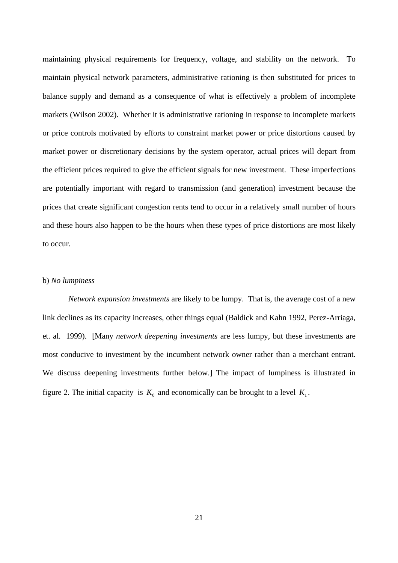maintaining physical requirements for frequency, voltage, and stability on the network. To maintain physical network parameters, administrative rationing is then substituted for prices to balance supply and demand as a consequence of what is effectively a problem of incomplete markets (Wilson 2002). Whether it is administrative rationing in response to incomplete markets or price controls motivated by efforts to constraint market power or price distortions caused by market power or discretionary decisions by the system operator, actual prices will depart from the efficient prices required to give the efficient signals for new investment. These imperfections are potentially important with regard to transmission (and generation) investment because the prices that create significant congestion rents tend to occur in a relatively small number of hours and these hours also happen to be the hours when these types of price distortions are most likely to occur.

#### b) *No lumpiness*

*Network expansion investments* are likely to be lumpy. That is, the average cost of a new link declines as its capacity increases, other things equal (Baldick and Kahn 1992, Perez-Arriaga, et. al. 1999). [Many *network deepening investments* are less lumpy, but these investments are most conducive to investment by the incumbent network owner rather than a merchant entrant. We discuss deepening investments further below.] The impact of lumpiness is illustrated in figure 2. The initial capacity is  $K_0$  and economically can be brought to a level  $K_1$ .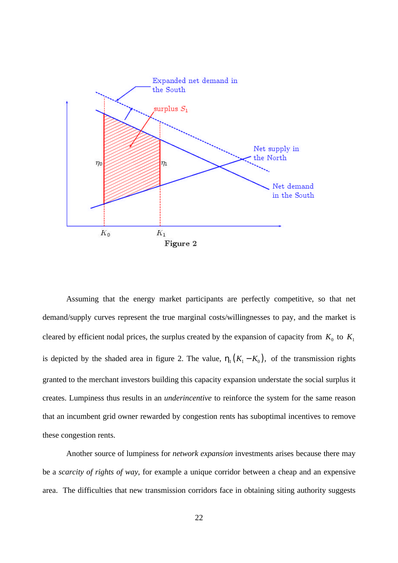

Assuming that the energy market participants are perfectly competitive, so that net demand/supply curves represent the true marginal costs/willingnesses to pay, and the market is cleared by efficient nodal prices, the surplus created by the expansion of capacity from  $K_0$  to  $K_1$ is depicted by the shaded area in figure 2. The value,  $h_1 (K_1 - K_0)$ , of the transmission rights granted to the merchant investors building this capacity expansion understate the social surplus it creates. Lumpiness thus results in an *underincentive* to reinforce the system for the same reason that an incumbent grid owner rewarded by congestion rents has suboptimal incentives to remove these congestion rents.

Another source of lumpiness for *network expansion* investments arises because there may be a *scarcity of rights of way*, for example a unique corridor between a cheap and an expensive area. The difficulties that new transmission corridors face in obtaining siting authority suggests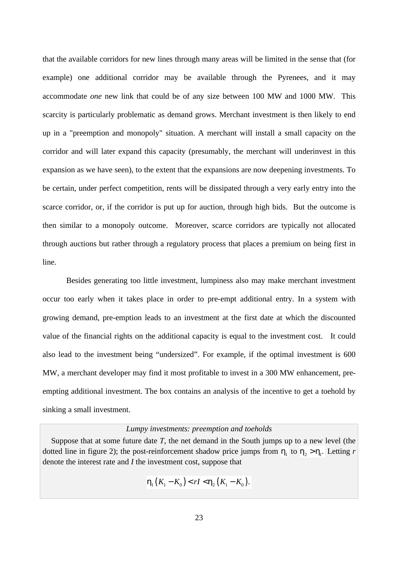that the available corridors for new lines through many areas will be limited in the sense that (for example) one additional corridor may be available through the Pyrenees, and it may accommodate *one* new link that could be of any size between 100 MW and 1000 MW. This scarcity is particularly problematic as demand grows. Merchant investment is then likely to end up in a "preemption and monopoly" situation. A merchant will install a small capacity on the corridor and will later expand this capacity (presumably, the merchant will underinvest in this expansion as we have seen), to the extent that the expansions are now deepening investments. To be certain, under perfect competition, rents will be dissipated through a very early entry into the scarce corridor, or, if the corridor is put up for auction, through high bids. But the outcome is then similar to a monopoly outcome. Moreover, scarce corridors are typically not allocated through auctions but rather through a regulatory process that places a premium on being first in line.

Besides generating too little investment, lumpiness also may make merchant investment occur too early when it takes place in order to pre-empt additional entry. In a system with growing demand, pre-emption leads to an investment at the first date at which the discounted value of the financial rights on the additional capacity is equal to the investment cost. It could also lead to the investment being "undersized". For example, if the optimal investment is 600 MW, a merchant developer may find it most profitable to invest in a 300 MW enhancement, preempting additional investment. The box contains an analysis of the incentive to get a toehold by sinking a small investment.

### *Lumpy investments: preemption and toeholds*

• Suppose that at some future date *T*, the net demand in the South jumps up to a new level (the dotted line in figure 2); the post-reinforcement shadow price jumps from  $h_1$  to  $h_2 > h_1$ . Letting *r* denote the interest rate and *I* the investment cost, suppose that

$$
h_1(K_1 - K_0) < rI < h_2(K_1 - K_0).
$$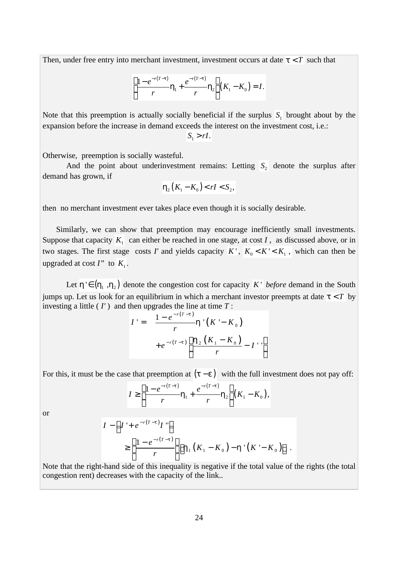Then, under free entry into merchant investment, investment occurs at date  $t < T$  such that

$$
\left[\frac{1-e^{-r(T-t)}}{r}\mathbf{h}_1+\frac{e^{-r(T-t)}}{r}\mathbf{h}_2\right](K_1-K_0)=I.
$$

Note that this preemption is actually socially beneficial if the surplus  $S_1$  brought about by the expansion before the increase in demand exceeds the interest on the investment cost, i.e.:  $S_1 > rI$ .

Otherwise, preemption is socially wasteful.

And the point about underinvestment remains: Letting  $S_2$  denote the surplus after demand has grown, if

$$
\boldsymbol{h}_2(K_1-K_0) < rI < S_2,
$$

then no merchant investment ever takes place even though it is socially desirable.

Similarly, we can show that preemption may encourage inefficiently small investments. Suppose that capacity  $K_1$  can either be reached in one stage, at cost *I*, as discussed above, or in two stages. The first stage costs *I'* and yields capacity  $K'$ ,  $K_0 < K' < K_1$ , which can then be upgraded at cost  $I''$  to  $K_1$ .

Let  $h \in (h_1, h_2)$  denote the congestion cost for capacity *K* ' *before* demand in the South jumps up. Let us look for an equilibrium in which a merchant investor preempts at date  $\mathbf{t} < T$  by investing a little ( *I'* ) and then upgrades the line at time *T* :

$$
I' = \frac{1 - e^{-r(T-t)}}{r} \mathbf{h}'(K' - K_0)
$$
  
+  $e^{-r(T-t)} \left[ \frac{\mathbf{h}_2 (K_1 - K_0)}{r} - I'' \right]$ 

For this, it must be the case that preemption at  $(t - e)$  with the full investment does not pay off:

$$
I \geq \left[\frac{1-e^{-r(T-t)}}{r}h_1 + \frac{e^{-r(T-t)}}{r}h_2\right](K_1 - K_0),
$$

or

$$
I - \left[ I' + e^{-r(T-t)} I'' \right]
$$
  
\n
$$
\geq \left[ \frac{1 - e^{-r(T-t)}}{r} \right] \left[ \mathbf{h}_1 \left( K_1 - K_0 \right) - \mathbf{h}' \left( K' - K_0 \right) \right].
$$

Note that the right-hand side of this inequality is negative if the total value of the rights (the total congestion rent) decreases with the capacity of the link..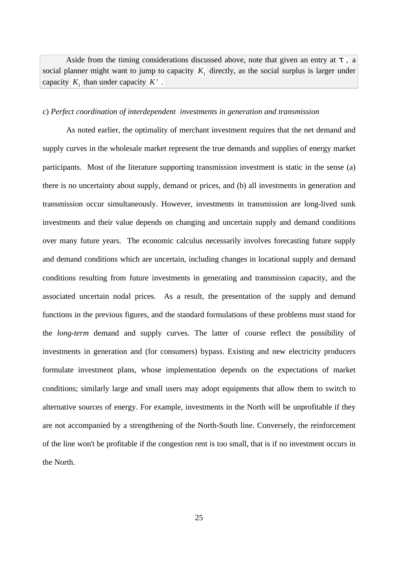Aside from the timing considerations discussed above, note that given an entry at *t* , a social planner might want to jump to capacity  $K_1$  directly, as the social surplus is larger under capacity  $K_1$  than under capacity  $K'$ .

#### c) *Perfect coordination of interdependent investments in generation and transmission*

As noted earlier, the optimality of merchant investment requires that the net demand and supply curves in the wholesale market represent the true demands and supplies of energy market participants. Most of the literature supporting transmission investment is static in the sense (a) there is no uncertainty about supply, demand or prices, and (b) all investments in generation and transmission occur simultaneously. However, investments in transmission are long-lived sunk investments and their value depends on changing and uncertain supply and demand conditions over many future years. The economic calculus necessarily involves forecasting future supply and demand conditions which are uncertain, including changes in locational supply and demand conditions resulting from future investments in generating and transmission capacity, and the associated uncertain nodal prices. As a result, the presentation of the supply and demand functions in the previous figures, and the standard formulations of these problems must stand for the *long-term* demand and supply curves. The latter of course reflect the possibility of investments in generation and (for consumers) bypass. Existing and new electricity producers formulate investment plans, whose implementation depends on the expectations of market conditions; similarly large and small users may adopt equipments that allow them to switch to alternative sources of energy. For example, investments in the North will be unprofitable if they are not accompanied by a strengthening of the North-South line. Conversely, the reinforcement of the line won't be profitable if the congestion rent is too small, that is if no investment occurs in the North.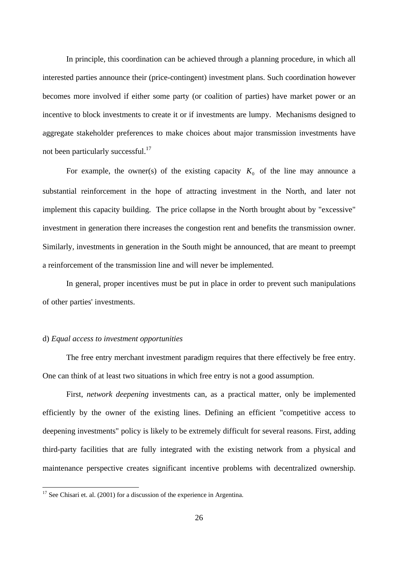In principle, this coordination can be achieved through a planning procedure, in which all interested parties announce their (price-contingent) investment plans. Such coordination however becomes more involved if either some party (or coalition of parties) have market power or an incentive to block investments to create it or if investments are lumpy. Mechanisms designed to aggregate stakeholder preferences to make choices about major transmission investments have not been particularly successful.<sup>17</sup>

For example, the owner(s) of the existing capacity  $K_0$  of the line may announce a substantial reinforcement in the hope of attracting investment in the North, and later not implement this capacity building. The price collapse in the North brought about by "excessive" investment in generation there increases the congestion rent and benefits the transmission owner. Similarly, investments in generation in the South might be announced, that are meant to preempt a reinforcement of the transmission line and will never be implemented.

In general, proper incentives must be put in place in order to prevent such manipulations of other parties' investments.

#### d) *Equal access to investment opportunities*

 $\overline{a}$ 

The free entry merchant investment paradigm requires that there effectively be free entry. One can think of at least two situations in which free entry is not a good assumption.

First, *network deepening* investments can, as a practical matter, only be implemented efficiently by the owner of the existing lines. Defining an efficient "competitive access to deepening investments" policy is likely to be extremely difficult for several reasons. First, adding third-party facilities that are fully integrated with the existing network from a physical and maintenance perspective creates significant incentive problems with decentralized ownership.

 $17$  See Chisari et. al. (2001) for a discussion of the experience in Argentina.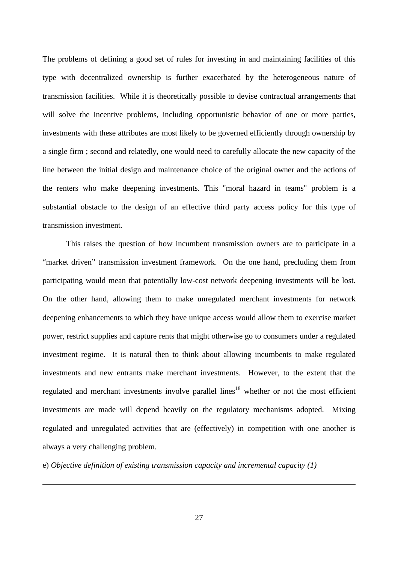The problems of defining a good set of rules for investing in and maintaining facilities of this type with decentralized ownership is further exacerbated by the heterogeneous nature of transmission facilities. While it is theoretically possible to devise contractual arrangements that will solve the incentive problems, including opportunistic behavior of one or more parties, investments with these attributes are most likely to be governed efficiently through ownership by a single firm ; second and relatedly, one would need to carefully allocate the new capacity of the line between the initial design and maintenance choice of the original owner and the actions of the renters who make deepening investments. This "moral hazard in teams" problem is a substantial obstacle to the design of an effective third party access policy for this type of transmission investment.

This raises the question of how incumbent transmission owners are to participate in a "market driven" transmission investment framework. On the one hand, precluding them from participating would mean that potentially low-cost network deepening investments will be lost. On the other hand, allowing them to make unregulated merchant investments for network deepening enhancements to which they have unique access would allow them to exercise market power, restrict supplies and capture rents that might otherwise go to consumers under a regulated investment regime. It is natural then to think about allowing incumbents to make regulated investments and new entrants make merchant investments. However, to the extent that the regulated and merchant investments involve parallel lines<sup>18</sup> whether or not the most efficient investments are made will depend heavily on the regulatory mechanisms adopted. Mixing regulated and unregulated activities that are (effectively) in competition with one another is always a very challenging problem.

e) *Objective definition of existing transmission capacity and incremental capacity (1)*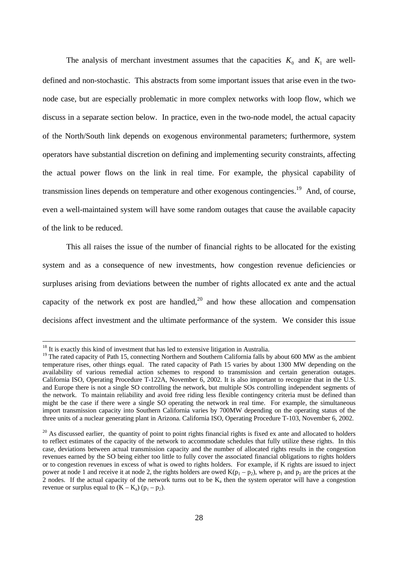The analysis of merchant investment assumes that the capacities  $K_0$  and  $K_1$  are welldefined and non-stochastic. This abstracts from some important issues that arise even in the twonode case, but are especially problematic in more complex networks with loop flow, which we discuss in a separate section below. In practice, even in the two-node model, the actual capacity of the North/South link depends on exogenous environmental parameters; furthermore, system operators have substantial discretion on defining and implementing security constraints, affecting the actual power flows on the link in real time. For example, the physical capability of transmission lines depends on temperature and other exogenous contingencies.<sup>19</sup> And, of course, even a well-maintained system will have some random outages that cause the available capacity of the link to be reduced.

This all raises the issue of the number of financial rights to be allocated for the existing system and as a consequence of new investments, how congestion revenue deficiencies or surpluses arising from deviations between the number of rights allocated ex ante and the actual capacity of the network ex post are handled, $20$  and how these allocation and compensation decisions affect investment and the ultimate performance of the system. We consider this issue

 $18$  It is exactly this kind of investment that has led to extensive litigation in Australia.

<sup>&</sup>lt;sup>19</sup> The rated capacity of Path 15, connecting Northern and Southern California falls by about 600 MW as the ambient temperature rises, other things equal. The rated capacity of Path 15 varies by about 1300 MW depending on the availability of various remedial action schemes to respond to transmission and certain generation outages. California ISO, Operating Procedure T-122A, November 6, 2002. It is also important to recognize that in the U.S. and Europe there is not a single SO controlling the network, but multiple SOs controlling independent segments of the network. To maintain reliability and avoid free riding less flexible contingency criteria must be defined than might be the case if there were a single SO operating the network in real time. For example, the simultaneous import transmission capacity into Southern California varies by 700MW depending on the operating status of the three units of a nuclear generating plant in Arizona. California ISO, Operating Procedure T-103, November 6, 2002.

 $20$  As discussed earlier, the quantity of point to point rights financial rights is fixed ex ante and allocated to holders to reflect estimates of the capacity of the network to accommodate schedules that fully utilize these rights. In this case, deviations between actual transmission capacity and the number of allocated rights results in the congestion revenues earned by the SO being either too little to fully cover the associated financial obligations to rights holders or to congestion revenues in excess of what is owed to rights holders. For example, if K rights are issued to inject power at node 1 and receive it at node 2, the rights holders are owed  $K(p_1 - p_2)$ , where  $p_1$  and  $p_2$  are the prices at the 2 nodes. If the actual capacity of the network turns out to be  $K_a$  then the system operator will have a congestion revenue or surplus equal to  $(K - K_a)$   $(p_1 - p_2)$ .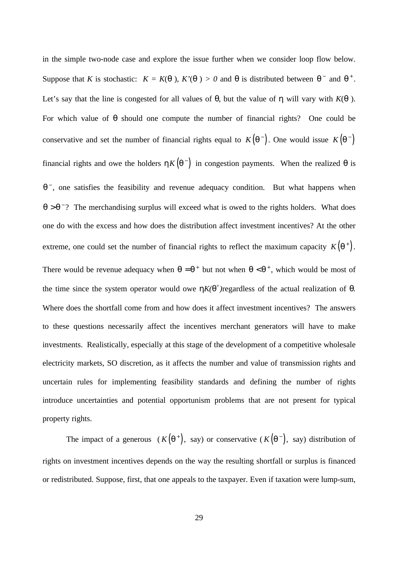in the simple two-node case and explore the issue further when we consider loop flow below. Suppose that *K* is stochastic:  $K = K(q)$ ,  $K'(q) > 0$  and *q* is distributed between  $q^-$  and  $q^+$ . Let's say that the line is congested for all values of  $q$ , but the value of  $h$  will vary with  $K(q)$ . For which value of *q* should one compute the number of financial rights? One could be conservative and set the number of financial rights equal to  $K(q^{-})$ . One would issue  $K(q^{-})$ financial rights and owe the holders  $hK(q^{-})$  in congestion payments. When the realized  $q$  is *q*<sup>-</sup>, one satisfies the feasibility and revenue adequacy condition. But what happens when  $q > q$ <sup>-</sup>? The merchandising surplus will exceed what is owed to the rights holders. What does one do with the excess and how does the distribution affect investment incentives? At the other extreme, one could set the number of financial rights to reflect the maximum capacity  $K(q^+)$ . There would be revenue adequacy when  $q = q^+$  but not when  $q < q^+$ , which would be most of the time since the system operator would owe  $hK(q^+)$ regardless of the actual realization of *q*. Where does the shortfall come from and how does it affect investment incentives? The answers to these questions necessarily affect the incentives merchant generators will have to make investments. Realistically, especially at this stage of the development of a competitive wholesale electricity markets, SO discretion, as it affects the number and value of transmission rights and uncertain rules for implementing feasibility standards and defining the number of rights introduce uncertainties and potential opportunism problems that are not present for typical property rights.

The impact of a generous  $(K(\mathbf{q}^+))$ , say) or conservative  $(K(\mathbf{q}^-))$ , say) distribution of rights on investment incentives depends on the way the resulting shortfall or surplus is financed or redistributed. Suppose, first, that one appeals to the taxpayer. Even if taxation were lump-sum,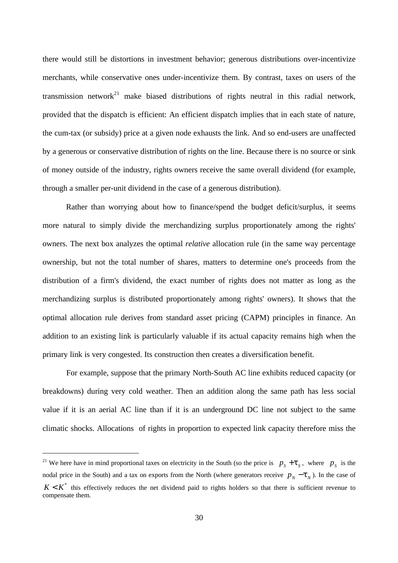there would still be distortions in investment behavior; generous distributions over-incentivize merchants, while conservative ones under-incentivize them. By contrast, taxes on users of the transmission network<sup>21</sup> make biased distributions of rights neutral in this radial network, provided that the dispatch is efficient: An efficient dispatch implies that in each state of nature, the cum-tax (or subsidy) price at a given node exhausts the link. And so end-users are unaffected by a generous or conservative distribution of rights on the line. Because there is no source or sink of money outside of the industry, rights owners receive the same overall dividend (for example, through a smaller per-unit dividend in the case of a generous distribution).

Rather than worrying about how to finance/spend the budget deficit/surplus, it seems more natural to simply divide the merchandizing surplus proportionately among the rights' owners. The next box analyzes the optimal *relative* allocation rule (in the same way percentage ownership, but not the total number of shares, matters to determine one's proceeds from the distribution of a firm's dividend, the exact number of rights does not matter as long as the merchandizing surplus is distributed proportionately among rights' owners). It shows that the optimal allocation rule derives from standard asset pricing (CAPM) principles in finance. An addition to an existing link is particularly valuable if its actual capacity remains high when the primary link is very congested. Its construction then creates a diversification benefit.

For example, suppose that the primary North-South AC line exhibits reduced capacity (or breakdowns) during very cold weather. Then an addition along the same path has less social value if it is an aerial AC line than if it is an underground DC line not subject to the same climatic shocks. Allocations of rights in proportion to expected link capacity therefore miss the

<sup>&</sup>lt;sup>21</sup> We here have in mind proportional taxes on electricity in the South (so the price is  $p_s + t_s$ , where  $p_s$  is the nodal price in the South) and a tax on exports from the North (where generators receive  $p_N - t_N$ ). In the case of  $K < K^*$  this effectively reduces the net dividend paid to rights holders so that there is sufficient revenue to compensate them.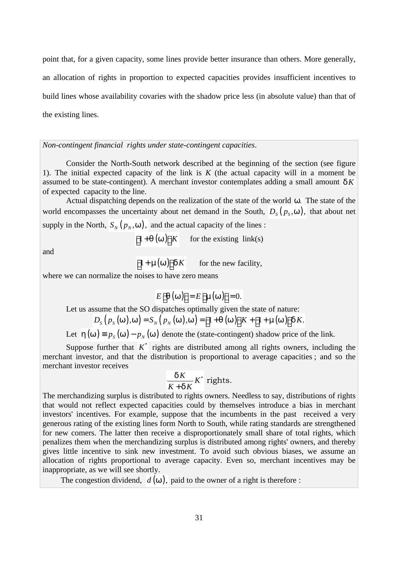point that, for a given capacity, some lines provide better insurance than others. More generally, an allocation of rights in proportion to expected capacities provides insufficient incentives to build lines whose availability covaries with the shadow price less (in absolute value) than that of the existing lines.

*Non-contingent financial rights under state-contingent capacities*.

Consider the North-South network described at the beginning of the section (see figure 1). The initial expected capacity of the link is *K* (the actual capacity will in a moment be assumed to be state-contingent). A merchant investor contemplates adding a small amount  $dK$ of expected capacity to the line.

Actual dispatching depends on the realization of the state of the world *w*. The state of the world encompasses the uncertainty about net demand in the South,  $D_S(p_S, \mathbf{w})$ , that about net supply in the North,  $S_N(p_N, w)$ , and the actual capacity of the lines :

 $\left[1+q(w)\right]K$  for the existing link(s)

and

 $\left[1 + m(w)\right]dK$  for the new facility,

where we can normalize the noises to have zero means

$$
E[\boldsymbol{q}(\mathbf{w})] = E[\mathbf{m}(\mathbf{w})] = 0.
$$

Let us assume that the SO dispatches optimally given the state of nature:

$$
D_{S}\left(p_{S}\left(\boldsymbol{w}\right),\boldsymbol{w}\right)=S_{N}\left(p_{N}\left(\boldsymbol{w}\right),\boldsymbol{w}\right)=\left[1+\boldsymbol{q}\left(\boldsymbol{w}\right)\right]K+\left[1+\boldsymbol{m}(\boldsymbol{w})\right]\boldsymbol{d}K.
$$

Let  $h(w) = p_s(w) - p_w(w)$  denote the (state-contingent) shadow price of the link.

Suppose further that  $K^*$  rights are distributed among all rights owners, including the merchant investor, and that the distribution is proportional to average capacities ; and so the merchant investor receives

$$
\frac{dK}{K+dK}K^*
$$
 rights.

The merchandizing surplus is distributed to rights owners. Needless to say, distributions of rights that would not reflect expected capacities could by themselves introduce a bias in merchant investors' incentives. For example, suppose that the incumbents in the past received a very generous rating of the existing lines form North to South, while rating standards are strengthened for new comers. The latter then receive a disproportionately small share of total rights, which penalizes them when the merchandizing surplus is distributed among rights' owners, and thereby gives little incentive to sink new investment. To avoid such obvious biases, we assume an allocation of rights proportional to average capacity. Even so, merchant incentives may be inappropriate, as we will see shortly.

The congestion dividend,  $d(w)$ , paid to the owner of a right is therefore :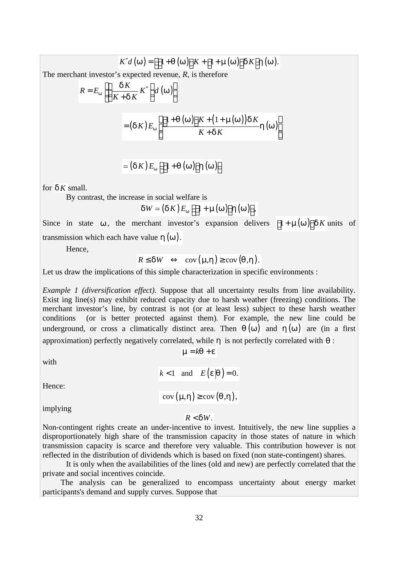$$
K^*d(w) = \left[\left[1+q(w)\right]K+\left[1+m(w)\right]dK\right]h(w).
$$

The merchant investor's expected revenue, *R*, is therefore

$$
R = E_{w} \left[ \left( \frac{dK}{K + dK} K^{*} \right) d(w) \right]
$$
  
=  $(dK) E_{w} \left[ \frac{\left[1 + q(w)\right] K + \left(1 + m(w)\right) dK}{K + dK} h(w) \right]$ 

$$
\simeq (\boldsymbol{d}\boldsymbol{K})E_{\boldsymbol{w}}\left[\left[1+\boldsymbol{q}\left(\boldsymbol{w}\right)\right]\boldsymbol{h}\left(\boldsymbol{w}\right)\right]
$$

for  $\boldsymbol{d} \boldsymbol{K}$  small.

By contrast, the increase in social welfare is

$$
dW \simeq (dK) E_{w} \left[ \left[ 1 + m(w) \right] h(w) \right],
$$

Since in state **w**, the merchant investor's expansion delivers  $\left[1 + m(w)\right]dK$  units of transmission which each have value  $h(w)$ .

Hence,

$$
R \le dW \iff \operatorname{cov}(\mathbf{m}, \mathbf{h}) \ge \operatorname{cov}(\mathbf{q}, \mathbf{h}).
$$

Let us draw the implications of this simple characterization in specific environments :

*Example 1 (diversification effect)*. Suppose that all uncertainty results from line availability. Exist ing line(s) may exhibit reduced capacity due to harsh weather (freezing) conditions. The merchant investor's line, by contrast is not (or at least less) subject to these harsh weather conditions (or is better protected against them). For example, the new line could be underground, or cross a climatically distinct area. Then  $q(w)$  and  $h(w)$  are (in a first approximation) perfectly negatively correlated, while *h* is not perfectly correlated with *q* :

with

$$
k < 1 \quad \text{and} \quad E(e|q) = 0.
$$

 $m = kq + e$ 

Hence:

 $cov(m, h) \geq cov(q, h),$ 

implying

#### $R < dW$ .

Non-contingent rights create an under-incentive to invest. Intuitively, the new line supplies a disproportionately high share of the transmission capacity in those states of nature in which transmission capacity is scarce and therefore very valuable. This contribution however is not reflected in the distribution of dividends which is based on fixed (non state-contingent) shares.

It is only when the availabilities of the lines (old and new) are perfectly correlated that the private and social incentives coincide.

 The analysis can be generalized to encompass uncertainty about energy market participants's demand and supply curves. Suppose that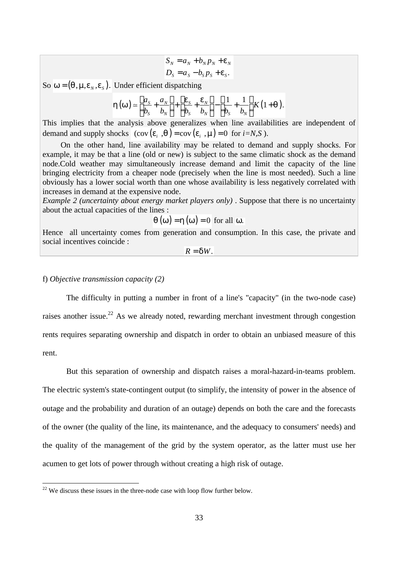$$
S_N = a_N + b_N p_N + \mathbf{e}_N
$$
  

$$
D_S = a_S - b_S p_S + \mathbf{e}_S.
$$

So  $w = (q, m, e_N, e_S)$ . Under efficient dispatching

$$
\boldsymbol{h}(\boldsymbol{w}) \simeq \left[\frac{a_{\rm s}}{b_{\rm s}} + \frac{a_{\rm w}}{b_{\rm w}}\right] + \left[\frac{\boldsymbol{e}_{\rm s}}{b_{\rm s}} + \frac{\boldsymbol{e}_{\rm w}}{b_{\rm w}}\right] - \left[\frac{1}{b_{\rm s}} + \frac{1}{b_{\rm w}}\right] K (1 + \boldsymbol{q}).
$$

This implies that the analysis above generalizes when line availabilities are independent of demand and supply shocks  $(\text{cov}(e_i, q) = \text{cov}(e_i, m) = 0 \text{ for } i = N, S)$ .

 On the other hand, line availability may be related to demand and supply shocks. For example, it may be that a line (old or new) is subject to the same climatic shock as the demand node.Cold weather may simultaneously increase demand and limit the capacity of the line bringing electricity from a cheaper node (precisely when the line is most needed). Such a line obviously has a lower social worth than one whose availability is less negatively correlated with increases in demand at the expensive node.

*Example 2 (uncertainty about energy market players only)* . Suppose that there is no uncertainty about the actual capacities of the lines :

$$
q(w) = h(w) = 0 \text{ for all } w.
$$

Hence all uncertainty comes from generation and consumption. In this case, the private and social incentives coincide :

$$
R = dW.
$$

#### f) *Objective transmission capacity (2)*

 $\overline{a}$ 

The difficulty in putting a number in front of a line's "capacity" (in the two-node case) raises another issue.<sup>22</sup> As we already noted, rewarding merchant investment through congestion rents requires separating ownership and dispatch in order to obtain an unbiased measure of this rent.

But this separation of ownership and dispatch raises a moral-hazard-in-teams problem. The electric system's state-contingent output (to simplify, the intensity of power in the absence of outage and the probability and duration of an outage) depends on both the care and the forecasts of the owner (the quality of the line, its maintenance, and the adequacy to consumers' needs) and the quality of the management of the grid by the system operator, as the latter must use her acumen to get lots of power through without creating a high risk of outage.

 $22$  We discuss these issues in the three-node case with loop flow further below.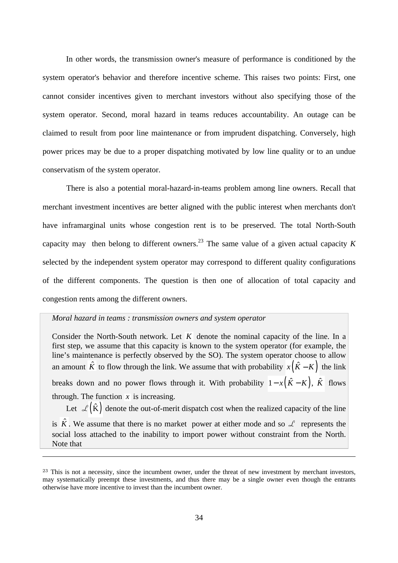In other words, the transmission owner's measure of performance is conditioned by the system operator's behavior and therefore incentive scheme. This raises two points: First, one cannot consider incentives given to merchant investors without also specifying those of the system operator. Second, moral hazard in teams reduces accountability. An outage can be claimed to result from poor line maintenance or from imprudent dispatching. Conversely, high power prices may be due to a proper dispatching motivated by low line quality or to an undue conservatism of the system operator.

There is also a potential moral-hazard-in-teams problem among line owners. Recall that merchant investment incentives are better aligned with the public interest when merchants don't have inframarginal units whose congestion rent is to be preserved. The total North-South capacity may then belong to different owners.<sup>23</sup> The same value of a given actual capacity  $K$ selected by the independent system operator may correspond to different quality configurations of the different components. The question is then one of allocation of total capacity and congestion rents among the different owners.

### *Moral hazard in teams : transmission owners and system operator*

 $\overline{a}$ 

Consider the North-South network. Let *K* denote the nominal capacity of the line. In a first step, we assume that this capacity is known to the system operator (for example, the line's maintenance is perfectly observed by the SO). The system operator choose to allow an amount  $\hat{K}$  to flow through the link. We assume that with probability  $x(\hat{K} - K)$  the link breaks down and no power flows through it. With probability  $1 - x(\hat{K} - K)$ ,  $\hat{K}$  flows through. The function  $\bar{x}$  is increasing.

Let  $\mathcal{L}(\hat{K})$  denote the out-of-merit dispatch cost when the realized capacity of the line is  $\hat{K}$ . We assume that there is no market power at either mode and so  $\mathcal{L}$  represents the social loss attached to the inability to import power without constraint from the North. Note that

<sup>&</sup>lt;sup>23</sup> This is not a necessity, since the incumbent owner, under the threat of new investment by merchant investors, may systematically preempt these investments, and thus there may be a single owner even though the entrants otherwise have more incentive to invest than the incumbent owner.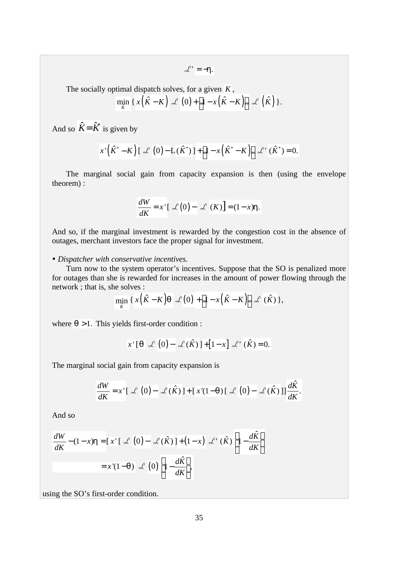$\mathcal{L}' = -h$ .

The socially optimal dispatch solves, for a given *K* ,

$$
\min_{\hat{K}} \left\{ x \left( \hat{K} - K \right) \mathcal{L} \left( 0 \right) + \left[ 1 - x \left( \hat{K} - K \right) \right] \mathcal{L} \left( \hat{K} \right) \right\}.
$$

And so  $\hat{K} = \hat{K}^*$  is given by

$$
x'\left(\hat{K}^* - K\right)\left[\right. \measuredangle \left(0\right) - \mathcal{L}\left(\hat{K}^*\right)\left.\right] + \left[1 - x\left(\hat{K}^* - K\right)\right] \measuredangle' \left(\hat{K}^*\right) = 0.
$$

The marginal social gain from capacity expansion is then (using the envelope theorem) :

$$
\frac{dW}{dK} = x \left[ \mathcal{L}(0) - \mathcal{L}(K) \right] = (1 - x)\mathbf{h}.
$$

And so, if the marginal investment is rewarded by the congestion cost in the absence of outages, merchant investors face the proper signal for investment.

#### ü *Dispatcher with conservative incentives.*

Turn now to the system operator's incentives. Suppose that the SO is penalized more for outages than she is rewarded for increases in the amount of power flowing through the network ; that is, she solves :

$$
\min_{\hat{K}} \left\{ x \left( \hat{K} - K \right) \mathbf{q} \right| \mathcal{L} \left( 0 \right) + \left[ 1 - x \left( \hat{K} - K \right) \right] \mathcal{L} \left( \hat{K} \right) \},
$$

where  $q > 1$ . This yields first-order condition :

$$
x^{\prime}[\mathbf{q} \ \mathcal{L}(0) - \mathcal{L}(\hat{K})] + [1 - x] \ \mathcal{L}'(\hat{K}) = 0.
$$

The marginal social gain from capacity expansion is

$$
\frac{dW}{dK} = x^{\top} \left[ \mathcal{L} \left( 0 \right) - \mathcal{L} \left( \hat{K} \right) \right] + \left[ x^{\top} (1 - q) \left[ \mathcal{L} \left( 0 \right) - \mathcal{L} \left( \hat{K} \right) \right] \right] \frac{d\hat{K}}{dK}.
$$

And so

$$
\frac{dW}{dK} - (1 - x)\mathbf{h} = [x'] \mathcal{L}(0) - \mathcal{L}(\hat{K}) + (1 - x) \mathcal{L}'(\hat{K}) \left[1 - \frac{d\hat{K}}{dK}\right]
$$

$$
= x'(1 - \mathbf{q}) \mathcal{L}(0) \left[1 - \frac{d\hat{K}}{dK}\right],
$$

using the SO's first-order condition.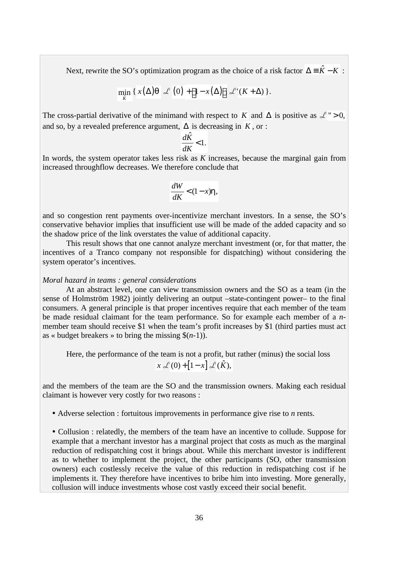Next, rewrite the SO's optimization program as the choice of a risk factor  $\Delta = \hat{K} - K$ :

$$
\min_{\hat{K}} \left\{ x(\Delta) \mathbf{q} \right| \mathcal{L} \left(0\right) + \left[1 - x(\Delta)\right] \mathcal{L} \left( K + \Delta \right) \right\}.
$$

The cross-partial derivative of the minimand with respect to *K* and  $\Delta$  is positive as  $\mathcal{L}$  " > 0, and so, by a revealed preference argument,  $\Delta$  is decreasing in  $K$ , or :

$$
\frac{d\hat{K}}{dK} < 1.
$$

In words, the system operator takes less risk as *K* increases, because the marginal gain from increased throughflow decreases. We therefore conclude that

$$
\frac{dW}{dK} < (1-x)\mathbf{h},
$$

and so congestion rent payments over-incentivize merchant investors. In a sense, the SO's conservative behavior implies that insufficient use will be made of the added capacity and so the shadow price of the link overstates the value of additional capacity.

This result shows that one cannot analyze merchant investment (or, for that matter, the incentives of a Tranco company not responsible for dispatching) without considering the system operator's incentives.

#### *Moral hazard in teams : general considerations*

At an abstract level, one can view transmission owners and the SO as a team (in the sense of Holmström 1982) jointly delivering an output –state-contingent power– to the final consumers. A general principle is that proper incentives require that each member of the team be made residual claimant for the team performance. So for example each member of a *n*member team should receive \$1 when the team's profit increases by \$1 (third parties must act as « budget breakers » to bring the missing  $\$(n-1)$ ).

Here, the performance of the team is not a profit, but rather (minus) the social loss  $x \mathcal{L}(0) + [1 - x] \mathcal{L}(\hat{K})$ ,

and the members of the team are the SO and the transmission owners. Making each residual claimant is however very costly for two reasons :

ü Adverse selection : fortuitous improvements in performance give rise to *n* rents.

• Collusion : relatedly, the members of the team have an incentive to collude. Suppose for example that a merchant investor has a marginal project that costs as much as the marginal reduction of redispatching cost it brings about. While this merchant investor is indifferent as to whether to implement the project, the other participants (SO, other transmission owners) each costlessly receive the value of this reduction in redispatching cost if he implements it. They therefore have incentives to bribe him into investing. More generally, collusion will induce investments whose cost vastly exceed their social benefit.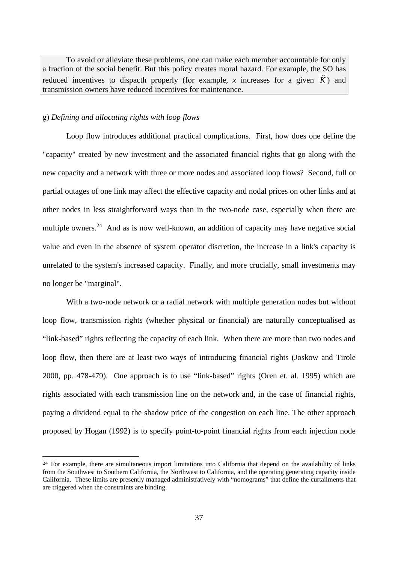To avoid or alleviate these problems, one can make each member accountable for only a fraction of the social benefit. But this policy creates moral hazard. For example, the SO has reduced incentives to dispacth properly (for example, x increases for a given  $\hat{K}$ ) and transmission owners have reduced incentives for maintenance.

#### g) *Defining and allocating rights with loop flows*

 $\overline{a}$ 

Loop flow introduces additional practical complications. First, how does one define the "capacity" created by new investment and the associated financial rights that go along with the new capacity and a network with three or more nodes and associated loop flows? Second, full or partial outages of one link may affect the effective capacity and nodal prices on other links and at other nodes in less straightforward ways than in the two-node case, especially when there are multiple owners.<sup>24</sup> And as is now well-known, an addition of capacity may have negative social value and even in the absence of system operator discretion, the increase in a link's capacity is unrelated to the system's increased capacity. Finally, and more crucially, small investments may no longer be "marginal".

With a two-node network or a radial network with multiple generation nodes but without loop flow, transmission rights (whether physical or financial) are naturally conceptualised as "link-based" rights reflecting the capacity of each link. When there are more than two nodes and loop flow, then there are at least two ways of introducing financial rights (Joskow and Tirole 2000, pp. 478-479). One approach is to use "link-based" rights (Oren et. al. 1995) which are rights associated with each transmission line on the network and, in the case of financial rights, paying a dividend equal to the shadow price of the congestion on each line. The other approach proposed by Hogan (1992) is to specify point-to-point financial rights from each injection node

<sup>&</sup>lt;sup>24</sup> For example, there are simultaneous import limitations into California that depend on the availability of links from the Southwest to Southern California, the Northwest to California, and the operating generating capacity inside California. These limits are presently managed administratively with "nomograms" that define the curtailments that are triggered when the constraints are binding.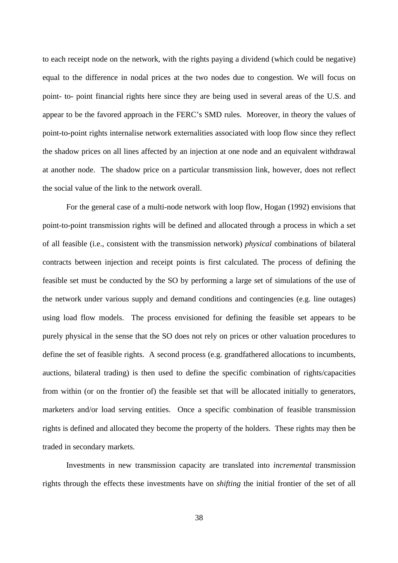to each receipt node on the network, with the rights paying a dividend (which could be negative) equal to the difference in nodal prices at the two nodes due to congestion. We will focus on point- to- point financial rights here since they are being used in several areas of the U.S. and appear to be the favored approach in the FERC's SMD rules. Moreover, in theory the values of point-to-point rights internalise network externalities associated with loop flow since they reflect the shadow prices on all lines affected by an injection at one node and an equivalent withdrawal at another node. The shadow price on a particular transmission link, however, does not reflect the social value of the link to the network overall.

For the general case of a multi-node network with loop flow, Hogan (1992) envisions that point-to-point transmission rights will be defined and allocated through a process in which a set of all feasible (i.e., consistent with the transmission network) *physical* combinations of bilateral contracts between injection and receipt points is first calculated. The process of defining the feasible set must be conducted by the SO by performing a large set of simulations of the use of the network under various supply and demand conditions and contingencies (e.g. line outages) using load flow models. The process envisioned for defining the feasible set appears to be purely physical in the sense that the SO does not rely on prices or other valuation procedures to define the set of feasible rights. A second process (e.g. grandfathered allocations to incumbents, auctions, bilateral trading) is then used to define the specific combination of rights/capacities from within (or on the frontier of) the feasible set that will be allocated initially to generators, marketers and/or load serving entities. Once a specific combination of feasible transmission rights is defined and allocated they become the property of the holders. These rights may then be traded in secondary markets.

Investments in new transmission capacity are translated into *incremental* transmission rights through the effects these investments have on *shifting* the initial frontier of the set of all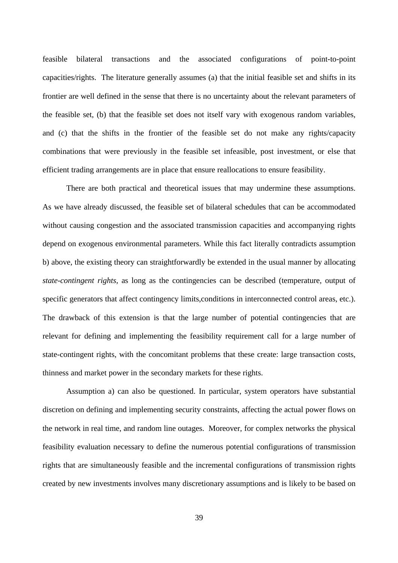feasible bilateral transactions and the associated configurations of point-to-point capacities/rights. The literature generally assumes (a) that the initial feasible set and shifts in its frontier are well defined in the sense that there is no uncertainty about the relevant parameters of the feasible set, (b) that the feasible set does not itself vary with exogenous random variables, and (c) that the shifts in the frontier of the feasible set do not make any rights/capacity combinations that were previously in the feasible set infeasible, post investment, or else that efficient trading arrangements are in place that ensure reallocations to ensure feasibility.

There are both practical and theoretical issues that may undermine these assumptions. As we have already discussed, the feasible set of bilateral schedules that can be accommodated without causing congestion and the associated transmission capacities and accompanying rights depend on exogenous environmental parameters. While this fact literally contradicts assumption b) above, the existing theory can straightforwardly be extended in the usual manner by allocating *state-contingent rights*, as long as the contingencies can be described (temperature, output of specific generators that affect contingency limits, conditions in interconnected control areas, etc.). The drawback of this extension is that the large number of potential contingencies that are relevant for defining and implementing the feasibility requirement call for a large number of state-contingent rights, with the concomitant problems that these create: large transaction costs, thinness and market power in the secondary markets for these rights.

Assumption a) can also be questioned. In particular, system operators have substantial discretion on defining and implementing security constraints, affecting the actual power flows on the network in real time, and random line outages. Moreover, for complex networks the physical feasibility evaluation necessary to define the numerous potential configurations of transmission rights that are simultaneously feasible and the incremental configurations of transmission rights created by new investments involves many discretionary assumptions and is likely to be based on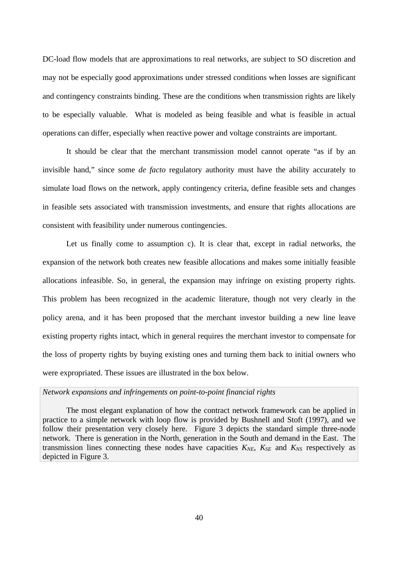DC-load flow models that are approximations to real networks, are subject to SO discretion and may not be especially good approximations under stressed conditions when losses are significant and contingency constraints binding. These are the conditions when transmission rights are likely to be especially valuable. What is modeled as being feasible and what is feasible in actual operations can differ, especially when reactive power and voltage constraints are important.

It should be clear that the merchant transmission model cannot operate "as if by an invisible hand," since some *de facto* regulatory authority must have the ability accurately to simulate load flows on the network, apply contingency criteria, define feasible sets and changes in feasible sets associated with transmission investments, and ensure that rights allocations are consistent with feasibility under numerous contingencies.

Let us finally come to assumption c). It is clear that, except in radial networks, the expansion of the network both creates new feasible allocations and makes some initially feasible allocations infeasible. So, in general, the expansion may infringe on existing property rights. This problem has been recognized in the academic literature, though not very clearly in the policy arena, and it has been proposed that the merchant investor building a new line leave existing property rights intact, which in general requires the merchant investor to compensate for the loss of property rights by buying existing ones and turning them back to initial owners who were expropriated. These issues are illustrated in the box below.

#### *Network expansions and infringements on point-to-point financial rights*

The most elegant explanation of how the contract network framework can be applied in practice to a simple network with loop flow is provided by Bushnell and Stoft (1997), and we follow their presentation very closely here. Figure 3 depicts the standard simple three-node network. There is generation in the North, generation in the South and demand in the East. The transmission lines connecting these nodes have capacities  $K_{NE}$ ,  $K_{SE}$  and  $K_{NS}$  respectively as depicted in Figure 3.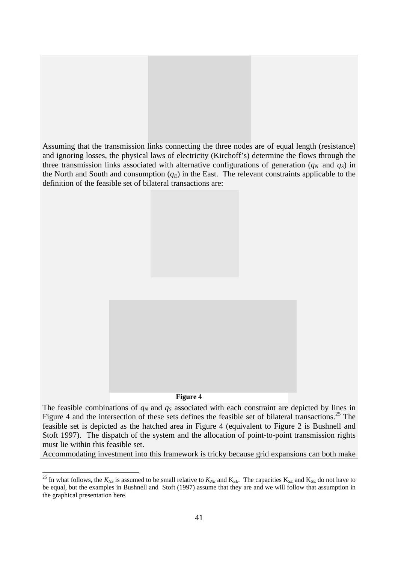

feasible set is depicted as the hatched area in Figure 4 (equivalent to Figure 2 is Bushnell and Stoft 1997). The dispatch of the system and the allocation of point-to-point transmission rights must lie within this feasible set.

Accommodating investment into this framework is tricky because grid expansions can both make

<sup>&</sup>lt;sup>25</sup> In what follows, the  $K_{NS}$  is assumed to be small relative to  $K_{NE}$  and  $K_{SE}$ . The capacities  $K_{SE}$  and  $K_{SE}$  do not have to be equal, but the examples in Bushnell and Stoft (1997) assume that they are and we will follow that assumption in the graphical presentation here.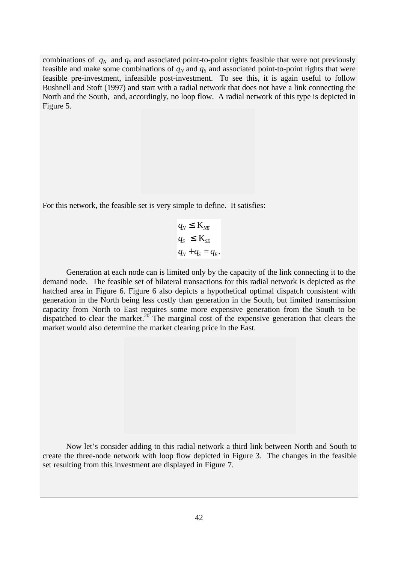combinations of  $q_N$  and  $q_S$  and associated point-to-point rights feasible that were not previously feasible and make some combinations of  $q_N$  and  $q_S$  and associated point-to-point rights that were feasible pre-investment, infeasible post-investment. To see this, it is again useful to follow Bushnell and Stoft (1997) and start with a radial network that does not have a link connecting the North and the South, and, accordingly, no loop flow. A radial network of this type is depicted in Figure 5.

For this network, the feasible set is very simple to define. It satisfies:

$$
q_N \leq \mathbf{K}_{NE}
$$
  
\n
$$
q_S \leq \mathbf{K}_{SE}
$$
  
\n
$$
q_N + q_S = q_E.
$$

Generation at each node can is limited only by the capacity of the link connecting it to the demand node. The feasible set of bilateral transactions for this radial network is depicted as the hatched area in Figure 6. Figure 6 also depicts a hypothetical optimal dispatch consistent with generation in the North being less costly than generation in the South, but limited transmission capacity from North to East requires some more expensive generation from the South to be dispatched to clear the market.<sup>20</sup> The marginal cost of the expensive generation that clears the market would also determine the market clearing price in the East.

Now let's consider adding to this radial network a third link between North and South to create the three-node network with loop flow depicted in Figure 3. The changes in the feasible set resulting from this investment are displayed in Figure 7.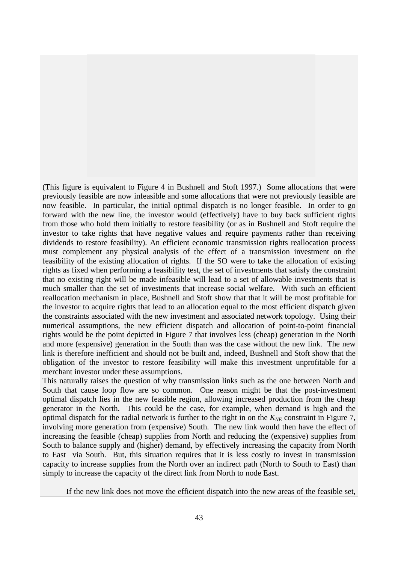(This figure is equivalent to Figure 4 in Bushnell and Stoft 1997.) Some allocations that were previously feasible are now infeasible and some allocations that were not previously feasible are now feasible. In particular, the initial optimal dispatch is no longer feasible. In order to go forward with the new line, the investor would (effectively) have to buy back sufficient rights from those who hold them initially to restore feasibility (or as in Bushnell and Stoft require the investor to take rights that have negative values and require payments rather than receiving dividends to restore feasibility). An efficient economic transmission rights reallocation process must complement any physical analysis of the effect of a transmission investment on the feasibility of the existing allocation of rights. If the SO were to take the allocation of existing rights as fixed when performing a feasibility test, the set of investments that satisfy the constraint that no existing right will be made infeasible will lead to a set of allowable investments that is much smaller than the set of investments that increase social welfare. With such an efficient reallocation mechanism in place, Bushnell and Stoft show that that it will be most profitable for the investor to acquire rights that lead to an allocation equal to the most efficient dispatch given the constraints associated with the new investment and associated network topology. Using their numerical assumptions, the new efficient dispatch and allocation of point-to-point financial rights would be the point depicted in Figure 7 that involves less (cheap) generation in the North and more (expensive) generation in the South than was the case without the new link. The new link is therefore inefficient and should not be built and, indeed, Bushnell and Stoft show that the obligation of the investor to restore feasibility will make this investment unprofitable for a merchant investor under these assumptions.

This naturally raises the question of why transmission links such as the one between North and South that cause loop flow are so common. One reason might be that the post-investment optimal dispatch lies in the new feasible region, allowing increased production from the cheap generator in the North. This could be the case, for example, when demand is high and the optimal dispatch for the radial network is further to the right in on the  $K_{NE}$  constraint in Figure 7, involving more generation from (expensive) South. The new link would then have the effect of increasing the feasible (cheap) supplies from North and reducing the (expensive) supplies from South to balance supply and (higher) demand, by effectively increasing the capacity from North to East via South. But, this situation requires that it is less costly to invest in transmission capacity to increase supplies from the North over an indirect path (North to South to East) than simply to increase the capacity of the direct link from North to node East.

If the new link does not move the efficient dispatch into the new areas of the feasible set,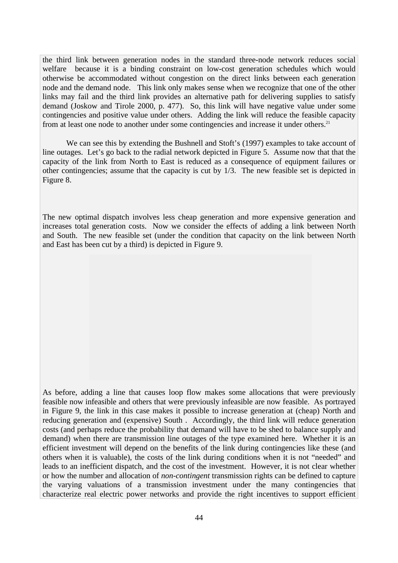the third link between generation nodes in the standard three-node network reduces social welfare because it is a binding constraint on low-cost generation schedules which would otherwise be accommodated without congestion on the direct links between each generation node and the demand node. This link only makes sense when we recognize that one of the other links may fail and the third link provides an alternative path for delivering supplies to satisfy demand (Joskow and Tirole 2000, p. 477). So, this link will have negative value under some contingencies and positive value under others. Adding the link will reduce the feasible capacity from at least one node to another under some contingencies and increase it under others.<sup>21</sup>

We can see this by extending the Bushnell and Stoft's (1997) examples to take account of line outages. Let's go back to the radial network depicted in Figure 5. Assume now that that the capacity of the link from North to East is reduced as a consequence of equipment failures or other contingencies; assume that the capacity is cut by 1/3. The new feasible set is depicted in Figure 8.

The new optimal dispatch involves less cheap generation and more expensive generation and increases total generation costs. Now we consider the effects of adding a link between North and South. The new feasible set (under the condition that capacity on the link between North and East has been cut by a third) is depicted in Figure 9.

As before, adding a line that causes loop flow makes some allocations that were previously feasible now infeasible and others that were previously infeasible are now feasible. As portrayed in Figure 9, the link in this case makes it possible to increase generation at (cheap) North and reducing generation and (expensive) South . Accordingly, the third link will reduce generation costs (and perhaps reduce the probability that demand will have to be shed to balance supply and demand) when there are transmission line outages of the type examined here. Whether it is an efficient investment will depend on the benefits of the link during contingencies like these (and others when it is valuable), the costs of the link during conditions when it is not "needed" and leads to an inefficient dispatch, and the cost of the investment. However, it is not clear whether or how the number and allocation of *non-contingent* transmission rights can be defined to capture the varying valuations of a transmission investment under the many contingencies that characterize real electric power networks and provide the right incentives to support efficient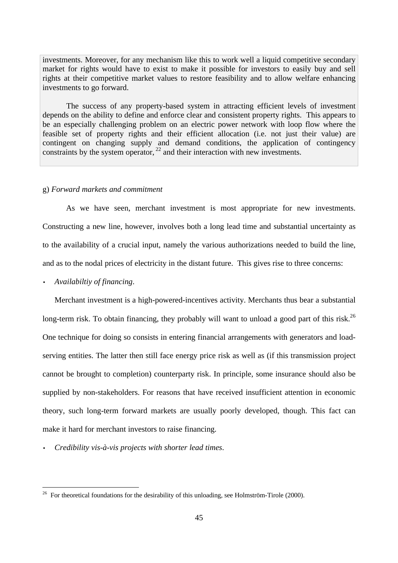investments. Moreover, for any mechanism like this to work well a liquid competitive secondary market for rights would have to exist to make it possible for investors to easily buy and sell rights at their competitive market values to restore feasibility and to allow welfare enhancing investments to go forward.

The success of any property-based system in attracting efficient levels of investment depends on the ability to define and enforce clear and consistent property rights. This appears to be an especially challenging problem on an electric power network with loop flow where the feasible set of property rights and their efficient allocation (i.e. not just their value) are contingent on changing supply and demand conditions, the application of contingency constraints by the system operator,  $^{22}$  and their interaction with new investments.

#### g) *Forward markets and commitment*

As we have seen, merchant investment is most appropriate for new investments. Constructing a new line, however, involves both a long lead time and substantial uncertainty as to the availability of a crucial input, namely the various authorizations needed to build the line, and as to the nodal prices of electricity in the distant future. This gives rise to three concerns:

• *Availabiltiy of financing*.

 $\overline{a}$ 

Merchant investment is a high-powered-incentives activity. Merchants thus bear a substantial long-term risk. To obtain financing, they probably will want to unload a good part of this risk.<sup>26</sup> One technique for doing so consists in entering financial arrangements with generators and loadserving entities. The latter then still face energy price risk as well as (if this transmission project cannot be brought to completion) counterparty risk. In principle, some insurance should also be supplied by non-stakeholders. For reasons that have received insufficient attention in economic theory, such long-term forward markets are usually poorly developed, though. This fact can make it hard for merchant investors to raise financing.

• *Credibility vis-à-vis projects with shorter lead times*.

<sup>&</sup>lt;sup>26</sup> For theoretical foundations for the desirability of this unloading, see Holmström-Tirole (2000).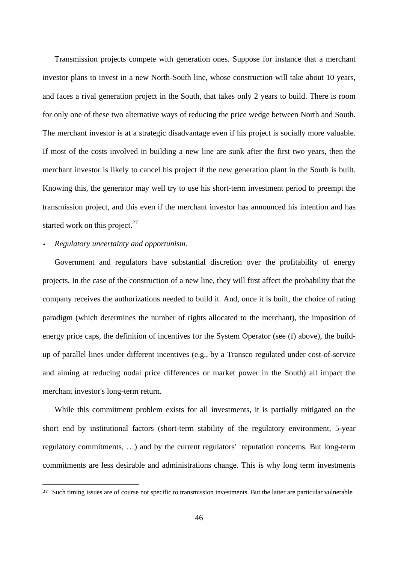Transmission projects compete with generation ones. Suppose for instance that a merchant investor plans to invest in a new North-South line, whose construction will take about 10 years, and faces a rival generation project in the South, that takes only 2 years to build. There is room for only one of these two alternative ways of reducing the price wedge between North and South. The merchant investor is at a strategic disadvantage even if his project is socially more valuable. If most of the costs involved in building a new line are sunk after the first two years, then the merchant investor is likely to cancel his project if the new generation plant in the South is built. Knowing this, the generator may well try to use his short-term investment period to preempt the transmission project, and this even if the merchant investor has announced his intention and has started work on this project. $27$ 

#### • *Regulatory uncertainty and opportunism*.

 $\overline{a}$ 

Government and regulators have substantial discretion over the profitability of energy projects. In the case of the construction of a new line, they will first affect the probability that the company receives the authorizations needed to build it. And, once it is built, the choice of rating paradigm (which determines the number of rights allocated to the merchant), the imposition of energy price caps, the definition of incentives for the System Operator (see (f) above), the buildup of parallel lines under different incentives (e.g., by a Transco regulated under cost-of-service and aiming at reducing nodal price differences or market power in the South) all impact the merchant investor's long-term return.

While this commitment problem exists for all investments, it is partially mitigated on the short end by institutional factors (short-term stability of the regulatory environment, 5-year regulatory commitments, …) and by the current regulators' reputation concerns. But long-term commitments are less desirable and administrations change. This is why long term investments

<sup>27</sup> Such timing issues are of course not specific to transmission investments. But the latter are particular vulnerable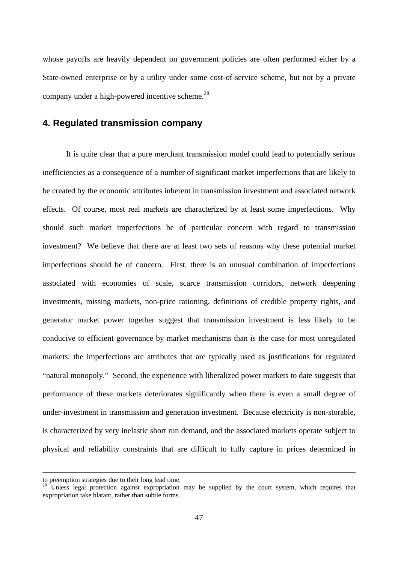whose payoffs are heavily dependent on government policies are often performed either by a State-owned enterprise or by a utility under some cost-of-service scheme, but not by a private company under a high-powered incentive scheme. $^{28}$ 

### **4. Regulated transmission company**

It is quite clear that a pure merchant transmission model could lead to potentially serious inefficiencies as a consequence of a number of significant market imperfections that are likely to be created by the economic attributes inherent in transmission investment and associated network effects. Of course, most real markets are characterized by at least some imperfections. Why should such market imperfections be of particular concern with regard to transmission investment? We believe that there are at least two sets of reasons why these potential market imperfections should be of concern. First, there is an unusual combination of imperfections associated with economies of scale, scarce transmission corridors, network deepening investments, missing markets, non-price rationing, definitions of credible property rights, and generator market power together suggest that transmission investment is less likely to be conducive to efficient governance by market mechanisms than is the case for most unregulated markets; the imperfections are attributes that are typically used as justifications for regulated "natural monopoly." Second, the experience with liberalized power markets to date suggests that performance of these markets deteriorates significantly when there is even a small degree of under-investment in transmission and generation investment. Because electricity is non-storable, is characterized by very inelastic short run demand, and the associated markets operate subject to physical and reliability constraints that are difficult to fully capture in prices determined in

to preemption strategies due to their long lead time.

<sup>&</sup>lt;sup>28</sup> Unless legal protection against expropriation may be supplied by the court system, which requires that expropriation take blatant, rather than subtle forms.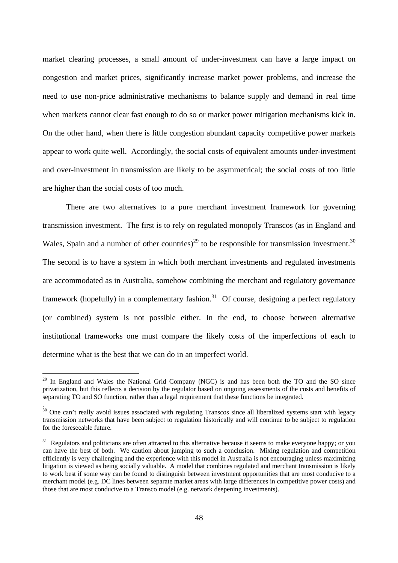market clearing processes, a small amount of under-investment can have a large impact on congestion and market prices, significantly increase market power problems, and increase the need to use non-price administrative mechanisms to balance supply and demand in real time when markets cannot clear fast enough to do so or market power mitigation mechanisms kick in. On the other hand, when there is little congestion abundant capacity competitive power markets appear to work quite well. Accordingly, the social costs of equivalent amounts under-investment and over-investment in transmission are likely to be asymmetrical; the social costs of too little are higher than the social costs of too much.

There are two alternatives to a pure merchant investment framework for governing transmission investment. The first is to rely on regulated monopoly Transcos (as in England and Wales, Spain and a number of other countries)<sup>29</sup> to be responsible for transmission investment.<sup>30</sup> The second is to have a system in which both merchant investments and regulated investments are accommodated as in Australia, somehow combining the merchant and regulatory governance framework (hopefully) in a complementary fashion.<sup>31</sup> Of course, designing a perfect regulatory (or combined) system is not possible either. In the end, to choose between alternative institutional frameworks one must compare the likely costs of the imperfections of each to determine what is the best that we can do in an imperfect world.

 $\overline{a}$ 

.

<sup>&</sup>lt;sup>29</sup> In England and Wales the National Grid Company (NGC) is and has been both the TO and the SO since privatization, but this reflects a decision by the regulator based on ongoing assessments of the costs and benefits of separating TO and SO function, rather than a legal requirement that these functions be integrated.

 $30$  One can't really avoid issues associated with regulating Transcos since all liberalized systems start with legacy transmission networks that have been subject to regulation historically and will continue to be subject to regulation for the foreseeable future.

 $31$  Regulators and politicians are often attracted to this alternative because it seems to make everyone happy; or you can have the best of both. We caution about jumping to such a conclusion. Mixing regulation and competition efficiently is very challenging and the experience with this model in Australia is not encouraging unless maximizing litigation is viewed as being socially valuable. A model that combines regulated and merchant transmission is likely to work best if some way can be found to distinguish between investment opportunities that are most conducive to a merchant model (e.g. DC lines between separate market areas with large differences in competitive power costs) and those that are most conducive to a Transco model (e.g. network deepening investments).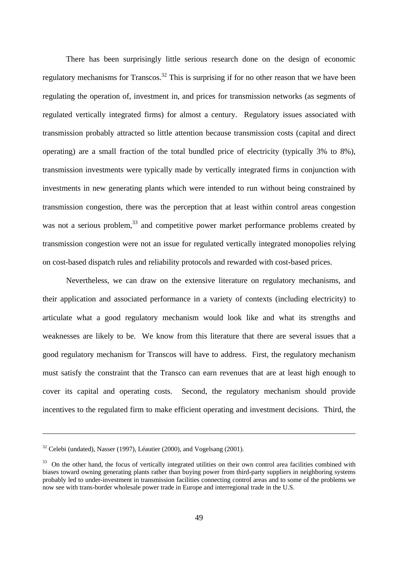There has been surprisingly little serious research done on the design of economic regulatory mechanisms for Transcos.<sup>32</sup> This is surprising if for no other reason that we have been regulating the operation of, investment in, and prices for transmission networks (as segments of regulated vertically integrated firms) for almost a century. Regulatory issues associated with transmission probably attracted so little attention because transmission costs (capital and direct operating) are a small fraction of the total bundled price of electricity (typically 3% to 8%), transmission investments were typically made by vertically integrated firms in conjunction with investments in new generating plants which were intended to run without being constrained by transmission congestion, there was the perception that at least within control areas congestion was not a serious problem,<sup>33</sup> and competitive power market performance problems created by transmission congestion were not an issue for regulated vertically integrated monopolies relying on cost-based dispatch rules and reliability protocols and rewarded with cost-based prices.

Nevertheless, we can draw on the extensive literature on regulatory mechanisms, and their application and associated performance in a variety of contexts (including electricity) to articulate what a good regulatory mechanism would look like and what its strengths and weaknesses are likely to be. We know from this literature that there are several issues that a good regulatory mechanism for Transcos will have to address. First, the regulatory mechanism must satisfy the constraint that the Transco can earn revenues that are at least high enough to cover its capital and operating costs. Second, the regulatory mechanism should provide incentives to the regulated firm to make efficient operating and investment decisions. Third, the

 $32$  Celebi (undated), Nasser (1997), Léautier (2000), and Vogelsang (2001).

<sup>&</sup>lt;sup>33</sup> On the other hand, the focus of vertically integrated utilities on their own control area facilities combined with biases toward owning generating plants rather than buying power from third-party suppliers in neighboring systems probably led to under-investment in transmission facilities connecting control areas and to some of the problems we now see with trans-border wholesale power trade in Europe and interregional trade in the U.S.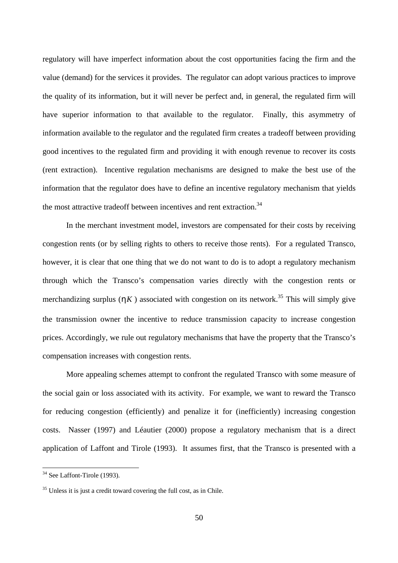regulatory will have imperfect information about the cost opportunities facing the firm and the value (demand) for the services it provides. The regulator can adopt various practices to improve the quality of its information, but it will never be perfect and, in general, the regulated firm will have superior information to that available to the regulator. Finally, this asymmetry of information available to the regulator and the regulated firm creates a tradeoff between providing good incentives to the regulated firm and providing it with enough revenue to recover its costs (rent extraction). Incentive regulation mechanisms are designed to make the best use of the information that the regulator does have to define an incentive regulatory mechanism that yields the most attractive tradeoff between incentives and rent extraction.<sup>34</sup>

In the merchant investment model, investors are compensated for their costs by receiving congestion rents (or by selling rights to others to receive those rents). For a regulated Transco, however, it is clear that one thing that we do not want to do is to adopt a regulatory mechanism through which the Transco's compensation varies directly with the congestion rents or merchandizing surplus  $(hK)$  associated with congestion on its network.<sup>35</sup> This will simply give the transmission owner the incentive to reduce transmission capacity to increase congestion prices. Accordingly, we rule out regulatory mechanisms that have the property that the Transco's compensation increases with congestion rents.

More appealing schemes attempt to confront the regulated Transco with some measure of the social gain or loss associated with its activity. For example, we want to reward the Transco for reducing congestion (efficiently) and penalize it for (inefficiently) increasing congestion costs. Nasser (1997) and Léautier (2000) propose a regulatory mechanism that is a direct application of Laffont and Tirole (1993). It assumes first, that the Transco is presented with a

<sup>&</sup>lt;sup>34</sup> See Laffont-Tirole (1993).

<sup>&</sup>lt;sup>35</sup> Unless it is just a credit toward covering the full cost, as in Chile.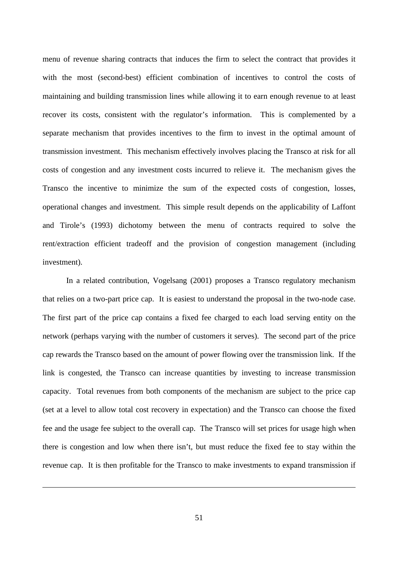menu of revenue sharing contracts that induces the firm to select the contract that provides it with the most (second-best) efficient combination of incentives to control the costs of maintaining and building transmission lines while allowing it to earn enough revenue to at least recover its costs, consistent with the regulator's information. This is complemented by a separate mechanism that provides incentives to the firm to invest in the optimal amount of transmission investment. This mechanism effectively involves placing the Transco at risk for all costs of congestion and any investment costs incurred to relieve it. The mechanism gives the Transco the incentive to minimize the sum of the expected costs of congestion, losses, operational changes and investment. This simple result depends on the applicability of Laffont and Tirole's (1993) dichotomy between the menu of contracts required to solve the rent/extraction efficient tradeoff and the provision of congestion management (including investment).

In a related contribution, Vogelsang (2001) proposes a Transco regulatory mechanism that relies on a two-part price cap. It is easiest to understand the proposal in the two-node case. The first part of the price cap contains a fixed fee charged to each load serving entity on the network (perhaps varying with the number of customers it serves). The second part of the price cap rewards the Transco based on the amount of power flowing over the transmission link. If the link is congested, the Transco can increase quantities by investing to increase transmission capacity. Total revenues from both components of the mechanism are subject to the price cap (set at a level to allow total cost recovery in expectation) and the Transco can choose the fixed fee and the usage fee subject to the overall cap. The Transco will set prices for usage high when there is congestion and low when there isn't, but must reduce the fixed fee to stay within the revenue cap. It is then profitable for the Transco to make investments to expand transmission if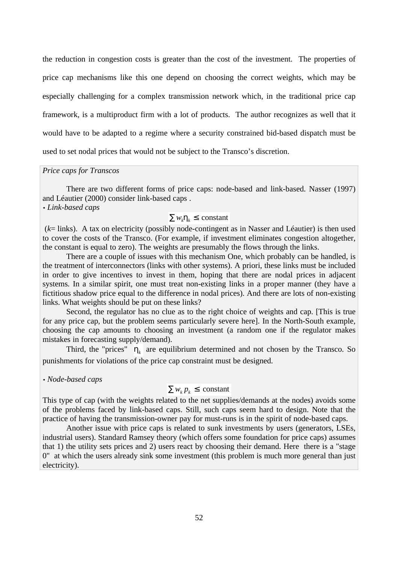the reduction in congestion costs is greater than the cost of the investment. The properties of price cap mechanisms like this one depend on choosing the correct weights, which may be especially challenging for a complex transmission network which, in the traditional price cap framework, is a multiproduct firm with a lot of products. The author recognizes as well that it would have to be adapted to a regime where a security constrained bid-based dispatch must be used to set nodal prices that would not be subject to the Transco's discretion.

#### *Price caps for Transcos*

There are two different forms of price caps: node-based and link-based. Nasser (1997) and Léautier (2000) consider link-based caps .

### • *Link-based caps*

# $Σ w<sub>i</sub>h<sub>i</sub> ≤ constant$

 (*k*= links). A tax on electricity (possibly node-contingent as in Nasser and Léautier) is then used to cover the costs of the Transco. (For example, if investment eliminates congestion altogether, the constant is equal to zero). The weights are presumably the flows through the links.

There are a couple of issues with this mechanism One, which probably can be handled, is the treatment of interconnectors (links with other systems). A priori, these links must be included in order to give incentives to invest in them, hoping that there are nodal prices in adjacent systems. In a similar spirit, one must treat non-existing links in a proper manner (they have a fictitious shadow price equal to the difference in nodal prices). And there are lots of non-existing links. What weights should be put on these links?

Second, the regulator has no clue as to the right choice of weights and cap. [This is true for any price cap, but the problem seems particularly severe here]. In the North-South example, choosing the cap amounts to choosing an investment (a random one if the regulator makes mistakes in forecasting supply/demand).

Third, the "prices"  $\boldsymbol{h}_k$  are equilibrium determined and not chosen by the Transco. So punishments for violations of the price cap constraint must be designed.

• *Node-based caps*

# $\sum w_k p_k \leq \text{constant}$

This type of cap (with the weights related to the net supplies/demands at the nodes) avoids some of the problems faced by link-based caps. Still, such caps seem hard to design. Note that the practice of having the transmission-owner pay for must-runs is in the spirit of node-based caps.

Another issue with price caps is related to sunk investments by users (generators, LSEs, industrial users). Standard Ramsey theory (which offers some foundation for price caps) assumes that 1) the utility sets prices and 2) users react by choosing their demand. Here there is a "stage 0" at which the users already sink some investment (this problem is much more general than just electricity).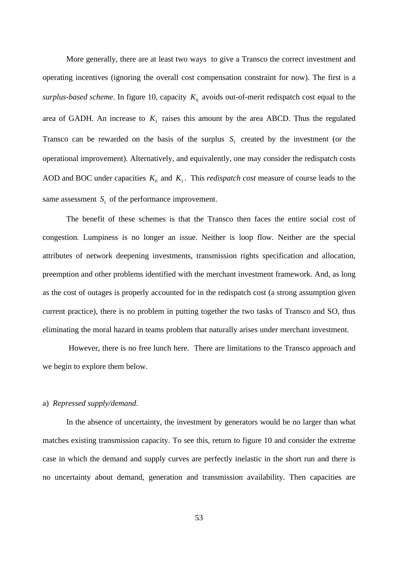More generally, there are at least two ways to give a Transco the correct investment and operating incentives (ignoring the overall cost compensation constraint for now). The first is a surplus-based scheme. In figure 10, capacity  $K_0$  avoids out-of-merit redispatch cost equal to the area of GADH. An increase to  $K_1$  raises this amount by the area ABCD. Thus the regulated Transco can be rewarded on the basis of the surplus  $S<sub>1</sub>$  created by the investment (or the operational improvement). Alternatively, and equivalently, one may consider the redispatch costs AOD and BOC under capacities  $K_0$  and  $K_1$ . This *redispatch cost* measure of course leads to the same assessment  $S_1$  of the performance improvement.

The benefit of these schemes is that the Transco then faces the entire social cost of congestion. Lumpiness is no longer an issue. Neither is loop flow. Neither are the special attributes of network deepening investments, transmission rights specification and allocation, preemption and other problems identified with the merchant investment framework. And, as long as the cost of outages is properly accounted for in the redispatch cost (a strong assumption given current practice), there is no problem in putting together the two tasks of Transco and SO, thus eliminating the moral hazard in teams problem that naturally arises under merchant investment.

 However, there is no free lunch here. There are limitations to the Transco approach and we begin to explore them below.

#### a) *Repressed supply/demand*.

In the absence of uncertainty, the investment by generators would be no larger than what matches existing transmission capacity. To see this, return to figure 10 and consider the extreme case in which the demand and supply curves are perfectly inelastic in the short run and there is no uncertainty about demand, generation and transmission availability. Then capacities are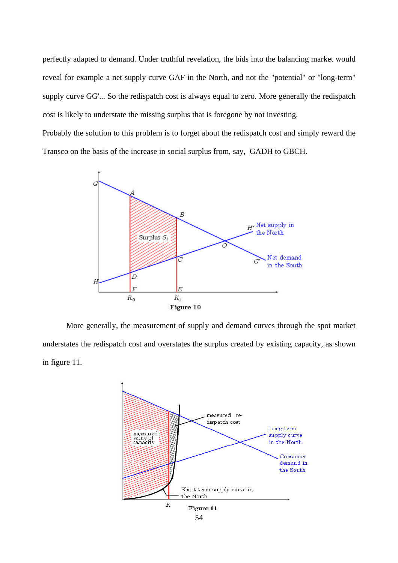perfectly adapted to demand. Under truthful revelation, the bids into the balancing market would reveal for example a net supply curve GAF in the North, and not the "potential" or "long-term" supply curve GG'... So the redispatch cost is always equal to zero. More generally the redispatch cost is likely to understate the missing surplus that is foregone by not investing.

Probably the solution to this problem is to forget about the redispatch cost and simply reward the Transco on the basis of the increase in social surplus from, say, GADH to GBCH.



More generally, the measurement of supply and demand curves through the spot market understates the redispatch cost and overstates the surplus created by existing capacity, as shown in figure 11.

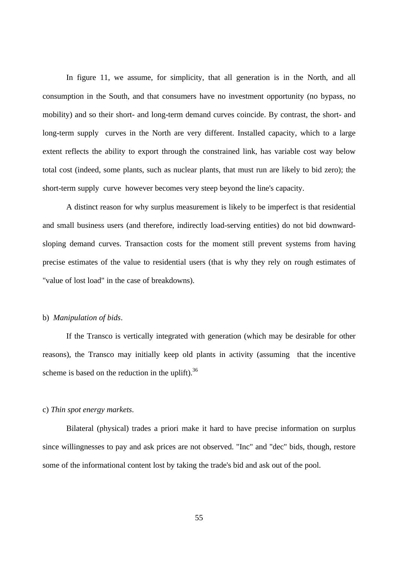In figure 11, we assume, for simplicity, that all generation is in the North, and all consumption in the South, and that consumers have no investment opportunity (no bypass, no mobility) and so their short- and long-term demand curves coincide. By contrast, the short- and long-term supply curves in the North are very different. Installed capacity, which to a large extent reflects the ability to export through the constrained link, has variable cost way below total cost (indeed, some plants, such as nuclear plants, that must run are likely to bid zero); the short-term supply curve however becomes very steep beyond the line's capacity.

A distinct reason for why surplus measurement is likely to be imperfect is that residential and small business users (and therefore, indirectly load-serving entities) do not bid downwardsloping demand curves. Transaction costs for the moment still prevent systems from having precise estimates of the value to residential users (that is why they rely on rough estimates of "value of lost load" in the case of breakdowns).

#### b) *Manipulation of bids*.

If the Transco is vertically integrated with generation (which may be desirable for other reasons), the Transco may initially keep old plants in activity (assuming that the incentive scheme is based on the reduction in the uplift). $36$ 

### c) *Thin spot energy markets*.

Bilateral (physical) trades a priori make it hard to have precise information on surplus since willingnesses to pay and ask prices are not observed. "Inc" and "dec" bids, though, restore some of the informational content lost by taking the trade's bid and ask out of the pool.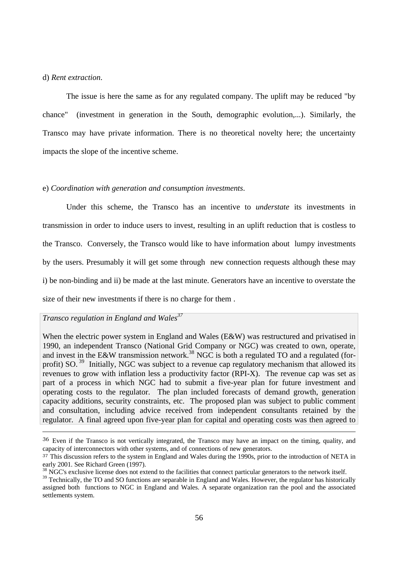#### d) *Rent extraction*.

The issue is here the same as for any regulated company. The uplift may be reduced "by chance" (investment in generation in the South, demographic evolution,...). Similarly, the Transco may have private information. There is no theoretical novelty here; the uncertainty impacts the slope of the incentive scheme.

#### e) *Coordination with generation and consumption investments*.

Under this scheme, the Transco has an incentive to *understate* its investments in transmission in order to induce users to invest, resulting in an uplift reduction that is costless to the Transco. Conversely, the Transco would like to have information about lumpy investments by the users. Presumably it will get some through new connection requests although these may i) be non-binding and ii) be made at the last minute. Generators have an incentive to overstate the size of their new investments if there is no charge for them .

### *Transco regulation in England and Wales<sup>37</sup>*

 $\overline{a}$ 

When the electric power system in England and Wales (E&W) was restructured and privatised in 1990, an independent Transco (National Grid Company or NGC) was created to own, operate, and invest in the E&W transmission network.<sup>38</sup> NGC is both a regulated TO and a regulated (forprofit) SO.<sup>39</sup> Initially, NGC was subject to a revenue cap regulatory mechanism that allowed its revenues to grow with inflation less a productivity factor (RPI-X). The revenue cap was set as part of a process in which NGC had to submit a five-year plan for future investment and operating costs to the regulator. The plan included forecasts of demand growth, generation capacity additions, security constraints, etc. The proposed plan was subject to public comment and consultation, including advice received from independent consultants retained by the regulator. A final agreed upon five-year plan for capital and operating costs was then agreed to

<sup>&</sup>lt;sup>36</sup> Even if the Transco is not vertically integrated, the Transco may have an impact on the timing, quality, and capacity of interconnectors with other systems, and of connections of new generators.

<sup>&</sup>lt;sup>37</sup> This discussion refers to the system in England and Wales during the 1990s, prior to the introduction of NETA in early 2001. See Richard Green (1997).

<sup>&</sup>lt;sup>38</sup> NGC's exclusive license does not extend to the facilities that connect particular generators to the network itself.

<sup>&</sup>lt;sup>39</sup> Technically, the TO and SO functions are separable in England and Wales. However, the regulator has historically assigned both functions to NGC in England and Wales. A separate organization ran the pool and the associated settlements system.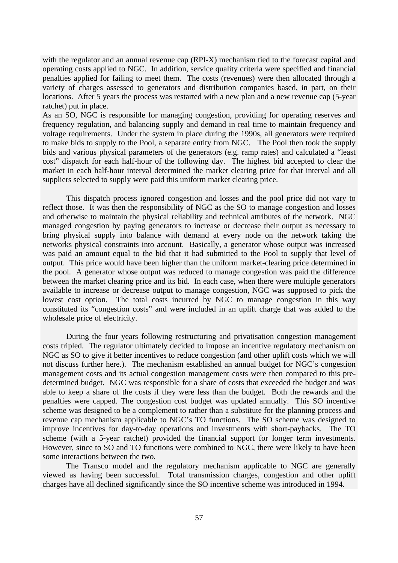with the regulator and an annual revenue cap (RPI-X) mechanism tied to the forecast capital and operating costs applied to NGC. In addition, service quality criteria were specified and financial penalties applied for failing to meet them. The costs (revenues) were then allocated through a variety of charges assessed to generators and distribution companies based, in part, on their locations. After 5 years the process was restarted with a new plan and a new revenue cap (5-year ratchet) put in place.

As an SO, NGC is responsible for managing congestion, providing for operating reserves and frequency regulation, and balancing supply and demand in real time to maintain frequency and voltage requirements. Under the system in place during the 1990s, all generators were required to make bids to supply to the Pool, a separate entity from NGC. The Pool then took the supply bids and various physical parameters of the generators (e.g. ramp rates) and calculated a "least cost" dispatch for each half-hour of the following day. The highest bid accepted to clear the market in each half-hour interval determined the market clearing price for that interval and all suppliers selected to supply were paid this uniform market clearing price.

This dispatch process ignored congestion and losses and the pool price did not vary to reflect those. It was then the responsibility of NGC as the SO to manage congestion and losses and otherwise to maintain the physical reliability and technical attributes of the network. NGC managed congestion by paying generators to increase or decrease their output as necessary to bring physical supply into balance with demand at every node on the network taking the networks physical constraints into account. Basically, a generator whose output was increased was paid an amount equal to the bid that it had submitted to the Pool to supply that level of output. This price would have been higher than the uniform market-clearing price determined in the pool. A generator whose output was reduced to manage congestion was paid the difference between the market clearing price and its bid. In each case, when there were multiple generators available to increase or decrease output to manage congestion, NGC was supposed to pick the lowest cost option. The total costs incurred by NGC to manage congestion in this way constituted its "congestion costs" and were included in an uplift charge that was added to the wholesale price of electricity.

During the four years following restructuring and privatisation congestion management costs tripled. The regulator ultimately decided to impose an incentive regulatory mechanism on NGC as SO to give it better incentives to reduce congestion (and other uplift costs which we will not discuss further here.). The mechanism established an annual budget for NGC's congestion management costs and its actual congestion management costs were then compared to this predetermined budget. NGC was responsible for a share of costs that exceeded the budget and was able to keep a share of the costs if they were less than the budget. Both the rewards and the penalties were capped. The congestion cost budget was updated annually. This SO incentive scheme was designed to be a complement to rather than a substitute for the planning process and revenue cap mechanism applicable to NGC's TO functions. The SO scheme was designed to improve incentives for day-to-day operations and investments with short-paybacks. The TO scheme (with a 5-year ratchet) provided the financial support for longer term investments. However, since to SO and TO functions were combined to NGC, there were likely to have been some interactions between the two.

The Transco model and the regulatory mechanism applicable to NGC are generally viewed as having been successful. Total transmission charges, congestion and other uplift charges have all declined significantly since the SO incentive scheme was introduced in 1994.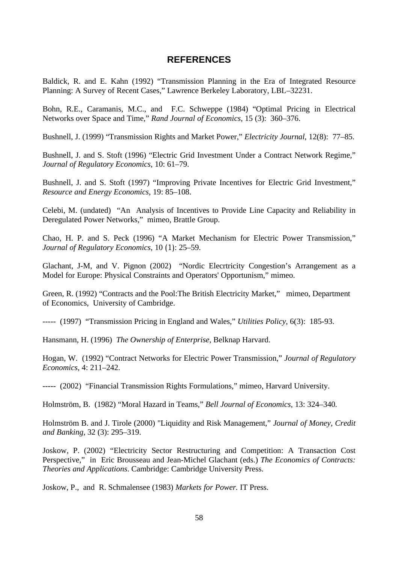# **REFERENCES**

Baldick, R. and E. Kahn (1992) "Transmission Planning in the Era of Integrated Resource Planning: A Survey of Recent Cases," Lawrence Berkeley Laboratory, LBL–32231.

Bohn, R.E., Caramanis, M.C., and F.C. Schweppe (1984) "Optimal Pricing in Electrical Networks over Space and Time," *Rand Journal of Economics*, 15 (3): 360–376.

Bushnell, J. (1999) "Transmission Rights and Market Power," *Electricity Journal*, 12(8): 77–85.

Bushnell, J. and S. Stoft (1996) "Electric Grid Investment Under a Contract Network Regime," *Journal of Regulatory Economics*, 10: 61–79.

Bushnell, J. and S. Stoft (1997) "Improving Private Incentives for Electric Grid Investment," *Resource and Energy Economics*, 19: 85–108.

Celebi, M. (undated) "An Analysis of Incentives to Provide Line Capacity and Reliability in Deregulated Power Networks," mimeo, Brattle Group.

Chao, H. P. and S. Peck (1996) "A Market Mechanism for Electric Power Transmission," *Journal of Regulatory Economics*, 10 (1): 25–59.

Glachant, J-M, and V. Pignon (2002) "Nordic Elecrtricity Congestion's Arrangement as a Model for Europe: Physical Constraints and Operators' Opportunism," mimeo.

Green, R. (1992) "Contracts and the Pool:The British Electricity Market," mimeo, Department of Economics, University of Cambridge.

----- (1997) "Transmission Pricing in England and Wales," *Utilities Policy*, 6(3): 185-93.

Hansmann, H. (1996) *The Ownership of Enterprise*, Belknap Harvard.

Hogan, W. (1992) "Contract Networks for Electric Power Transmission," *Journal of Regulatory Economics*, 4: 211–242.

----- (2002) "Financial Transmission Rights Formulations," mimeo, Harvard University.

Holmström, B. (1982) "Moral Hazard in Teams," *Bell Journal of Economics*, 13: 324–340*.*

Holmström B. and J. Tirole (2000) "Liquidity and Risk Management," *Journal of Money, Credit and Banking*, 32 (3): 295–319.

Joskow, P. (2002) "Electricity Sector Restructuring and Competition: A Transaction Cost Perspective," in Eric Brousseau and Jean-Michel Glachant (eds.) *The Economics of Contracts: Theories and Applications*. Cambridge: Cambridge University Press.

Joskow, P., and R. Schmalensee (1983) *Markets for Power.* IT Press.